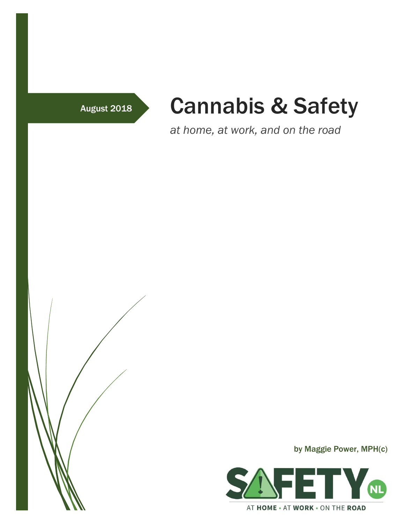# August 2018 Cannabis & Safety

*at home, at work, and on the road*



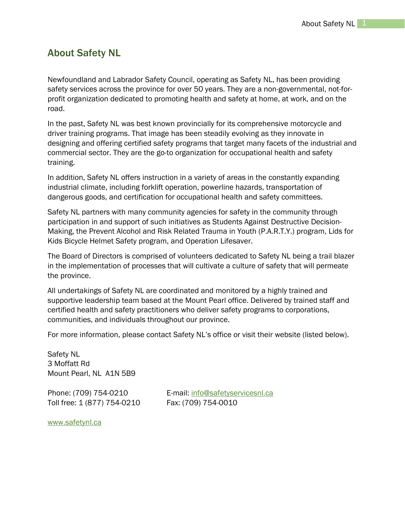## About Safety NL

Newfoundland and Labrador Safety Council, operating as Safety NL, has been providing safety services across the province for over 50 years. They are a non-governmental, not-forprofit organization dedicated to promoting health and safety at home, at work, and on the road.

In the past, Safety NL was best known provincially for its comprehensive motorcycle and driver training programs. That image has been steadily evolving as they innovate in designing and offering certified safety programs that target many facets of the industrial and commercial sector. They are the go-to organization for occupational health and safety training.

In addition, Safety NL offers instruction in a variety of areas in the constantly expanding industrial climate, including forklift operation, powerline hazards, transportation of dangerous goods, and certification for occupational health and safety committees.

Safety NL partners with many community agencies for safety in the community through participation in and support of such initiatives as Students Against Destructive Decision-Making, the Prevent Alcohol and Risk Related Trauma in Youth (P.A.R.T.Y.) program, Lids for Kids Bicycle Helmet Safety program, and Operation Lifesaver.

The Board of Directors is comprised of volunteers dedicated to Safety NL being a trail blazer in the implementation of processes that will cultivate a culture of safety that will permeate the province.

All undertakings of Safety NL are coordinated and monitored by a highly trained and supportive leadership team based at the Mount Pearl office. Delivered by trained staff and certified health and safety practitioners who deliver safety programs to corporations, communities, and individuals throughout our province.

For more information, please contact Safety NL's office or visit their website (listed below).

Safety NL 3 Moffatt Rd Mount Pearl, NL A1N 5B9

Toll free: 1 (877) 754-0210 Fax: (709) 754-0010

Phone: (709) 754-0210 E-mail: [info@safetyservicesnl.ca](mailto:info@safetyservicesnl.ca)

[www.safetynl.ca](http://www.safetyservicesnl.ca/)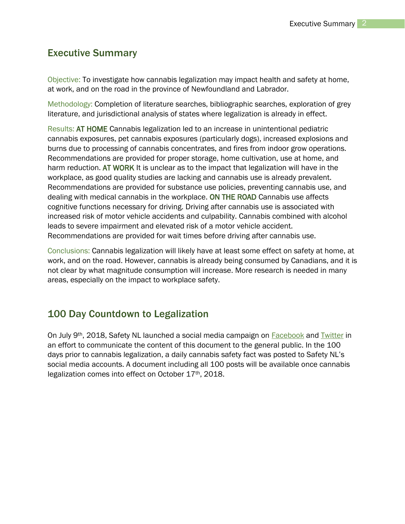## Executive Summary

Objective: To investigate how cannabis legalization may impact health and safety at home, at work, and on the road in the province of Newfoundland and Labrador.

Methodology: Completion of literature searches, bibliographic searches, exploration of grey literature, and jurisdictional analysis of states where legalization is already in effect.

Results: AT HOME Cannabis legalization led to an increase in unintentional pediatric cannabis exposures, pet cannabis exposures (particularly dogs), increased explosions and burns due to processing of cannabis concentrates, and fires from indoor grow operations. Recommendations are provided for proper storage, home cultivation, use at home, and harm reduction. AT WORK It is unclear as to the impact that legalization will have in the workplace, as good quality studies are lacking and cannabis use is already prevalent. Recommendations are provided for substance use policies, preventing cannabis use, and dealing with medical cannabis in the workplace. ON THE ROAD Cannabis use affects cognitive functions necessary for driving. Driving after cannabis use is associated with increased risk of motor vehicle accidents and culpability. Cannabis combined with alcohol leads to severe impairment and elevated risk of a motor vehicle accident. Recommendations are provided for wait times before driving after cannabis use.

Conclusions: Cannabis legalization will likely have at least some effect on safety at home, at work, and on the road. However, cannabis is already being consumed by Canadians, and it is not clear by what magnitude consumption will increase. More research is needed in many areas, especially on the impact to workplace safety.

## 100 Day Countdown to Legalization

On July 9th, 2018, Safety NL launched a social media campaign on [Facebook](http://www.facebook.com/safetyservicesnewfoundland) and [Twitter](http://www.twitter.com/safetyNL) in an effort to communicate the content of this document to the general public. In the 100 days prior to cannabis legalization, a daily cannabis safety fact was posted to Safety NL's social media accounts. A document including all 100 posts will be available once cannabis legalization comes into effect on October 17th, 2018.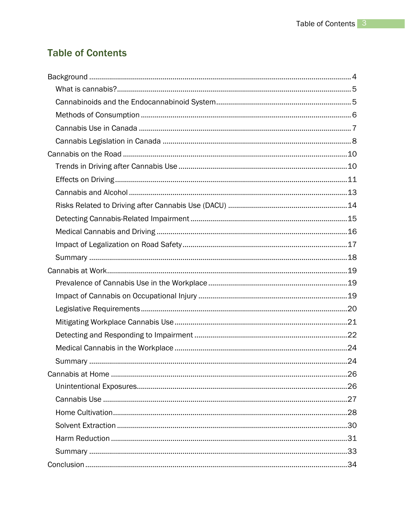## **Table of Contents**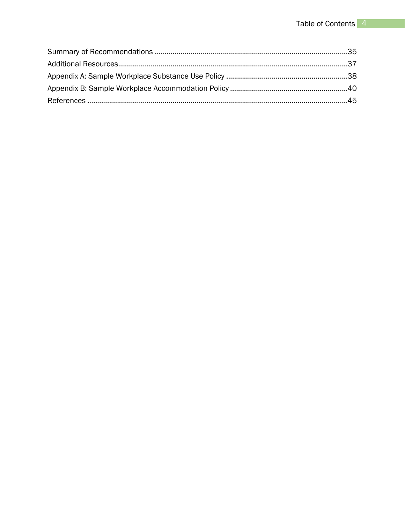<span id="page-4-0"></span>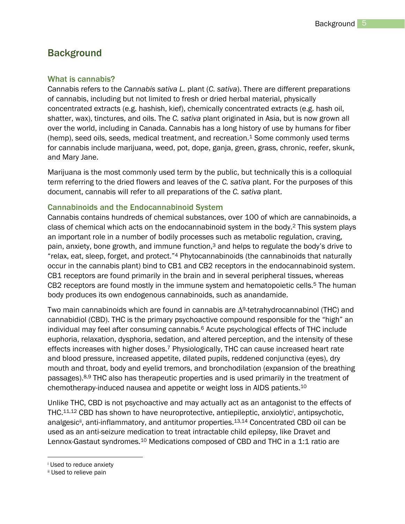## <span id="page-5-0"></span>**Background**

#### What is cannabis?

Cannabis refers to the *Cannabis sativa L.* plant (*C. sativa*). There are different preparations of cannabis, including but not limited to fresh or dried herbal material, physically concentrated extracts (e.g. hashish, kief), chemically concentrated extracts (e.g. hash oil, shatter, wax), tinctures, and oils. The *C. sativa* plant originated in Asia, but is now grown all over the world, including in Canada. Cannabis has a long history of use by humans for fiber  $(hemp)$ , seed oils, seeds, medical treatment, and recreation.<sup>1</sup> Some commonly used terms for cannabis include marijuana, weed, pot, dope, ganja, green, grass, chronic, reefer, skunk, and Mary Jane.

Marijuana is the most commonly used term by the public, but technically this is a colloquial term referring to the dried flowers and leaves of the *C. sativa* plant. For the purposes of this document, cannabis will refer to all preparations of the *C. sativa* plant.

#### <span id="page-5-1"></span>Cannabinoids and the Endocannabinoid System

Cannabis contains hundreds of chemical substances, over 100 of which are cannabinoids, a class of chemical which acts on the endocannabinoid system in the body. <sup>2</sup> This system plays an important role in a number of bodily processes such as metabolic regulation, craving, pain, anxiety, bone growth, and immune function,<sup>3</sup> and helps to regulate the body's drive to "relax, eat, sleep, forget, and protect."<sup>4</sup> Phytocannabinoids (the cannabinoids that naturally occur in the cannabis plant) bind to CB1 and CB2 receptors in the endocannabinoid system. CB1 receptors are found primarily in the brain and in several peripheral tissues, whereas CB2 receptors are found mostly in the immune system and hematopoietic cells.<sup>5</sup> The human body produces its own endogenous cannabinoids, such as anandamide.

Two main cannabinoids which are found in cannabis are ∆9-tetrahydrocannabinol (THC) and cannabidiol (CBD). THC is the primary psychoactive compound responsible for the "high" an individual may feel after consuming cannabis.<sup>6</sup> Acute psychological effects of THC include euphoria, relaxation, dysphoria, sedation, and altered perception, and the intensity of these effects increases with higher doses.<sup>7</sup> Physiologically, THC can cause increased heart rate and blood pressure, increased appetite, dilated pupils, reddened conjunctiva (eyes), dry mouth and throat, body and eyelid tremors, and bronchodilation (expansion of the breathing passages).8,9 THC also has therapeutic properties and is used primarily in the treatment of chemotherapy-induced nausea and appetite or weight loss in AIDS patients.<sup>10</sup>

Unlike THC, CBD is not psychoactive and may actually act as an antagonist to the effects of THC.<sup>11,12</sup> CBD has shown to have neuroprotective, antiepileptic, anxiolytic<sup>i</sup>, antipsychotic, analgesic<sup>ii</sup>, anti-inflammatory, and antitumor properties.<sup>13,14</sup> Concentrated CBD oil can be used as an anti-seizure medication to treat intractable child epilepsy, like Dravet and Lennox-Gastaut syndromes.<sup>10</sup> Medications composed of CBD and THC in a 1:1 ratio are

 $\overline{a}$ 

<sup>i</sup> Used to reduce anxiety

ii Used to relieve pain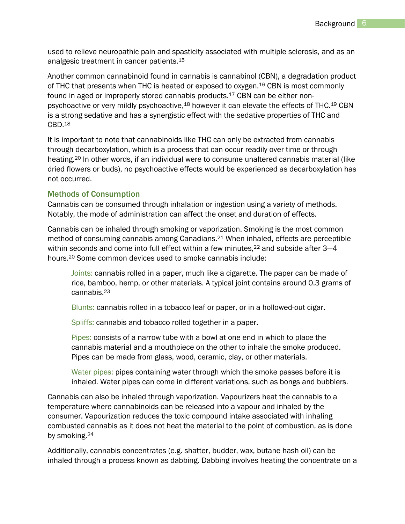used to relieve neuropathic pain and spasticity associated with multiple sclerosis, and as an analgesic treatment in cancer patients.<sup>15</sup>

Another common cannabinoid found in cannabis is cannabinol (CBN), a degradation product of THC that presents when THC is heated or exposed to oxygen.<sup>16</sup> CBN is most commonly found in aged or improperly stored cannabis products.<sup>17</sup> CBN can be either nonpsychoactive or very mildly psychoactive,<sup>18</sup> however it can elevate the effects of THC.<sup>19</sup> CBN is a strong sedative and has a synergistic effect with the sedative properties of THC and CBD.<sup>18</sup>

It is important to note that cannabinoids like THC can only be extracted from cannabis through decarboxylation, which is a process that can occur readily over time or through heating.<sup>20</sup> In other words, if an individual were to consume unaltered cannabis material (like dried flowers or buds), no psychoactive effects would be experienced as decarboxylation has not occurred.

#### <span id="page-6-0"></span>Methods of Consumption

Cannabis can be consumed through inhalation or ingestion using a variety of methods. Notably, the mode of administration can affect the onset and duration of effects.

Cannabis can be inhaled through smoking or vaporization. Smoking is the most common method of consuming cannabis among Canadians.<sup>21</sup> When inhaled, effects are perceptible within seconds and come into full effect within a few minutes,<sup>22</sup> and subside after 3–4 hours.<sup>20</sup> Some common devices used to smoke cannabis include:

Joints: cannabis rolled in a paper, much like a cigarette. The paper can be made of rice, bamboo, hemp, or other materials. A typical joint contains around 0.3 grams of cannabis.<sup>23</sup>

Blunts: cannabis rolled in a tobacco leaf or paper, or in a hollowed-out cigar.

Spliffs: cannabis and tobacco rolled together in a paper.

Pipes: consists of a narrow tube with a bowl at one end in which to place the cannabis material and a mouthpiece on the other to inhale the smoke produced. Pipes can be made from glass, wood, ceramic, clay, or other materials.

Water pipes: pipes containing water through which the smoke passes before it is inhaled. Water pipes can come in different variations, such as bongs and bubblers.

Cannabis can also be inhaled through vaporization. Vapourizers heat the cannabis to a temperature where cannabinoids can be released into a vapour and inhaled by the consumer. Vapourization reduces the toxic compound intake associated with inhaling combusted cannabis as it does not heat the material to the point of combustion, as is done by smoking. 24

Additionally, cannabis concentrates (e.g. shatter, budder, wax, butane hash oil) can be inhaled through a process known as dabbing. Dabbing involves heating the concentrate on a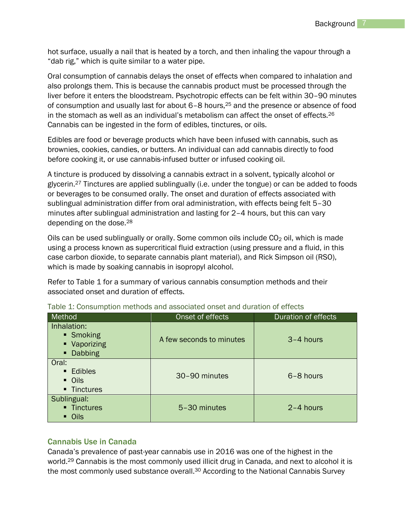hot surface, usually a nail that is heated by a torch, and then inhaling the vapour through a "dab rig," which is quite similar to a water pipe.

Oral consumption of cannabis delays the onset of effects when compared to inhalation and also prolongs them. This is because the cannabis product must be processed through the liver before it enters the bloodstream. Psychotropic effects can be felt within 30–90 minutes of consumption and usually last for about 6–8 hours, <sup>25</sup> and the presence or absence of food in the stomach as well as an individual's metabolism can affect the onset of effects.<sup>26</sup> Cannabis can be ingested in the form of edibles, tinctures, or oils.

Edibles are food or beverage products which have been infused with cannabis, such as brownies, cookies, candies, or butters. An individual can add cannabis directly to food before cooking it, or use cannabis-infused butter or infused cooking oil.

A tincture is produced by dissolving a cannabis extract in a solvent, typically alcohol or glycerin.<sup>27</sup> Tinctures are applied sublingually (i.e. under the tongue) or can be added to foods or beverages to be consumed orally. The onset and duration of effects associated with sublingual administration differ from oral administration, with effects being felt 5–30 minutes after sublingual administration and lasting for 2–4 hours, but this can vary depending on the dose.<sup>28</sup>

Oils can be used sublingually or orally. Some common oils include  $CO<sub>2</sub>$  oil, which is made using a process known as supercritical fluid extraction (using pressure and a fluid, in this case carbon dioxide, to separate cannabis plant material), and Rick Simpson oil (RSO), which is made by soaking cannabis in isopropyl alcohol.

Refer to Table 1 for a summary of various cannabis consumption methods and their associated onset and duration of effects.

| Method                                                | Onset of effects         | Duration of effects |
|-------------------------------------------------------|--------------------------|---------------------|
| Inhalation:<br>■ Smoking<br>• Vaporizing<br>• Dabbing | A few seconds to minutes | 3-4 hours           |
| Oral:<br>• Edibles<br>• Oils<br>• Tinctures           | 30-90 minutes            | 6-8 hours           |
| Sublingual:<br>• Tinctures<br>• Oils                  | 5-30 minutes             | $2 - 4$ hours       |

Table 1: Consumption methods and associated onset and duration of effects

#### <span id="page-7-0"></span>Cannabis Use in Canada

Canada's prevalence of past-year cannabis use in 2016 was one of the highest in the world.<sup>29</sup> Cannabis is the most commonly used illicit drug in Canada, and next to alcohol it is the most commonly used substance overall.<sup>30</sup> According to the National Cannabis Survey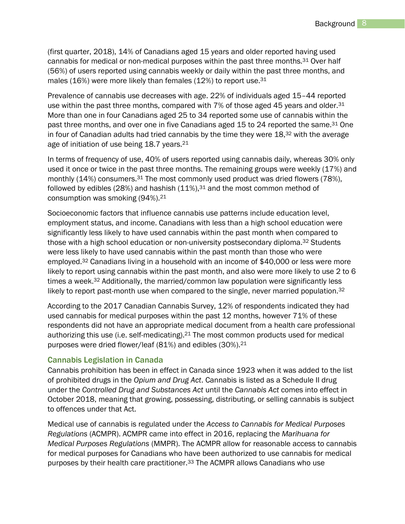(first quarter, 2018), 14% of Canadians aged 15 years and older reported having used cannabis for medical or non-medical purposes within the past three months.<sup>31</sup> Over half (56%) of users reported using cannabis weekly or daily within the past three months, and males (16%) were more likely than females (12%) to report use.<sup>31</sup>

Prevalence of cannabis use decreases with age. 22% of individuals aged 15–44 reported use within the past three months, compared with 7% of those aged 45 years and older.<sup>31</sup> More than one in four Canadians aged 25 to 34 reported some use of cannabis within the past three months, and over one in five Canadians aged 15 to 24 reported the same.<sup>31</sup> One in four of Canadian adults had tried cannabis by the time they were  $18,32$  with the average age of initiation of use being 18.7 years.<sup>21</sup>

In terms of frequency of use, 40% of users reported using cannabis daily, whereas 30% only used it once or twice in the past three months. The remaining groups were weekly (17%) and monthly (14%) consumers.<sup>31</sup> The most commonly used product was dried flowers (78%), followed by edibles (28%) and hashish  $(11\%)$ , 31 and the most common method of consumption was smoking (94%).<sup>21</sup>

Socioeconomic factors that influence cannabis use patterns include education level, employment status, and income. Canadians with less than a high school education were significantly less likely to have used cannabis within the past month when compared to those with a high school education or non-university postsecondary diploma.<sup>32</sup> Students were less likely to have used cannabis within the past month than those who were employed.<sup>32</sup> Canadians living in a household with an income of \$40,000 or less were more likely to report using cannabis within the past month, and also were more likely to use 2 to 6 times a week.<sup>32</sup> Additionally, the married/common law population were significantly less likely to report past-month use when compared to the single, never married population.<sup>32</sup>

According to the 2017 Canadian Cannabis Survey, 12% of respondents indicated they had used cannabis for medical purposes within the past 12 months, however 71% of these respondents did not have an appropriate medical document from a health care professional authorizing this use (i.e. self-medicating).<sup>21</sup> The most common products used for medical purposes were dried flower/leaf (81%) and edibles (30%).<sup>21</sup>

#### <span id="page-8-0"></span>Cannabis Legislation in Canada

Cannabis prohibition has been in effect in Canada since 1923 when it was added to the list of prohibited drugs in the *Opium and Drug Act*. Cannabis is listed as a Schedule II drug under the *Controlled Drug and Substances Act* until the *Cannabis Act* comes into effect in October 2018, meaning that growing, possessing, distributing, or selling cannabis is subject to offences under that Act.

Medical use of cannabis is regulated under the *Access to Cannabis for Medical Purposes Regulations* (ACMPR). ACMPR came into effect in 2016, replacing the *Marihuana for Medical Purposes Regulations* (MMPR). The ACMPR allow for reasonable access to cannabis for medical purposes for Canadians who have been authorized to use cannabis for medical purposes by their health care practitioner.<sup>33</sup> The ACMPR allows Canadians who use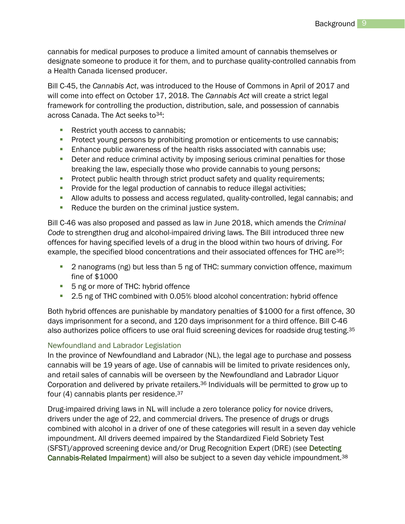cannabis for medical purposes to produce a limited amount of cannabis themselves or designate someone to produce it for them, and to purchase quality-controlled cannabis from a Health Canada licensed producer.

Bill C-45, the *Cannabis Act*, was introduced to the House of Commons in April of 2017 and will come into effect on October 17, 2018. The *Cannabis Act* will create a strict legal framework for controlling the production, distribution, sale, and possession of cannabis across Canada. The Act seeks to <sup>34</sup>:

- Restrict youth access to cannabis;
- **Protect young persons by prohibiting promotion or enticements to use cannabis;**
- **Enhance public awareness of the health risks associated with cannabis use;**
- **Deter and reduce criminal activity by imposing serious criminal penalties for those** breaking the law, especially those who provide cannabis to young persons;
- **Protect public health through strict product safety and quality requirements;**
- **Provide for the legal production of cannabis to reduce illegal activities;**
- **Allow adults to possess and access regulated, quality-controlled, legal cannabis; and**
- Reduce the burden on the criminal justice system.

Bill C-46 was also proposed and passed as law in June 2018, which amends the *Criminal Code* to strengthen drug and alcohol-impaired driving laws. The Bill introduced three new offences for having specified levels of a drug in the blood within two hours of driving. For example, the specified blood concentrations and their associated offences for THC are<sup>35</sup>:

- 2 nanograms (ng) but less than 5 ng of THC: summary conviction offence, maximum fine of \$1000
- 5 ng or more of THC: hybrid offence
- 2.5 ng of THC combined with 0.05% blood alcohol concentration: hybrid offence

Both hybrid offences are punishable by mandatory penalties of \$1000 for a first offence, 30 days imprisonment for a second, and 120 days imprisonment for a third offence. Bill C-46 also authorizes police officers to use oral fluid screening devices for roadside drug testing.<sup>35</sup>

#### Newfoundland and Labrador Legislation

In the province of Newfoundland and Labrador (NL), the legal age to purchase and possess cannabis will be 19 years of age. Use of cannabis will be limited to private residences only, and retail sales of cannabis will be overseen by the Newfoundland and Labrador Liquor Corporation and delivered by private retailers.<sup>36</sup> Individuals will be permitted to grow up to four (4) cannabis plants per residence.<sup>37</sup>

Drug-impaired driving laws in NL will include a zero tolerance policy for novice drivers, drivers under the age of 22, and commercial drivers. The presence of drugs or drugs combined with alcohol in a driver of one of these categories will result in a seven day vehicle impoundment. All drivers deemed impaired by the Standardized Field Sobriety Test (SFST)/approved screening device and/or Drug Recognition Expert (DRE) (see [Detecting](#page-15-0)  [Cannabis-Related Impairment\)](#page-15-0) will also be subject to a seven day vehicle impoundment.<sup>38</sup>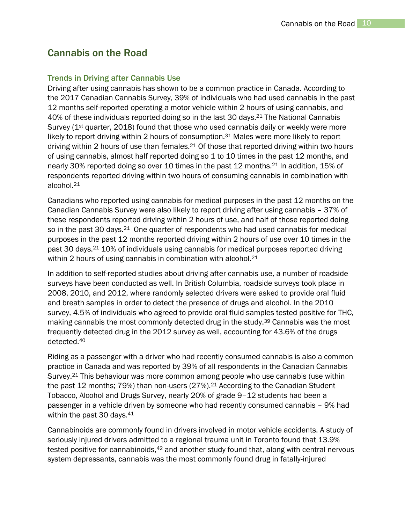## <span id="page-10-0"></span>Cannabis on the Road

#### <span id="page-10-1"></span>Trends in Driving after Cannabis Use

Driving after using cannabis has shown to be a common practice in Canada. According to the 2017 Canadian Cannabis Survey, 39% of individuals who had used cannabis in the past 12 months self-reported operating a motor vehicle within 2 hours of using cannabis, and 40% of these individuals reported doing so in the last 30 days.<sup>21</sup> The National Cannabis Survey ( $1<sup>st</sup>$  quarter, 2018) found that those who used cannabis daily or weekly were more likely to report driving within 2 hours of consumption.<sup>31</sup> Males were more likely to report driving within 2 hours of use than females.<sup>21</sup> Of those that reported driving within two hours of using cannabis, almost half reported doing so 1 to 10 times in the past 12 months, and nearly 30% reported doing so over 10 times in the past 12 months.<sup>21</sup> In addition, 15% of respondents reported driving within two hours of consuming cannabis in combination with alcohol.<sup>21</sup>

Canadians who reported using cannabis for medical purposes in the past 12 months on the Canadian Cannabis Survey were also likely to report driving after using cannabis – 37% of these respondents reported driving within 2 hours of use, and half of those reported doing so in the past 30 days.<sup>21</sup> One quarter of respondents who had used cannabis for medical purposes in the past 12 months reported driving within 2 hours of use over 10 times in the past 30 days.<sup>21</sup> 10% of individuals using cannabis for medical purposes reported driving within 2 hours of using cannabis in combination with alcohol.<sup>21</sup>

In addition to self-reported studies about driving after cannabis use, a number of roadside surveys have been conducted as well. In British Columbia, roadside surveys took place in 2008, 2010, and 2012, where randomly selected drivers were asked to provide oral fluid and breath samples in order to detect the presence of drugs and alcohol. In the 2010 survey, 4.5% of individuals who agreed to provide oral fluid samples tested positive for THC, making cannabis the most commonly detected drug in the study.<sup>39</sup> Cannabis was the most frequently detected drug in the 2012 survey as well, accounting for 43.6% of the drugs detected.<sup>40</sup>

Riding as a passenger with a driver who had recently consumed cannabis is also a common practice in Canada and was reported by 39% of all respondents in the Canadian Cannabis Survey.<sup>21</sup> This behaviour was more common among people who use cannabis (use within the past 12 months; 79%) than non-users (27%).<sup>21</sup> According to the Canadian Student Tobacco, Alcohol and Drugs Survey, nearly 20% of grade 9–12 students had been a passenger in a vehicle driven by someone who had recently consumed cannabis – 9% had within the past 30 days.<sup>41</sup>

Cannabinoids are commonly found in drivers involved in motor vehicle accidents. A study of seriously injured drivers admitted to a regional trauma unit in Toronto found that 13.9% tested positive for cannabinoids, <sup>42</sup> and another study found that, along with central nervous system depressants, cannabis was the most commonly found drug in fatally-injured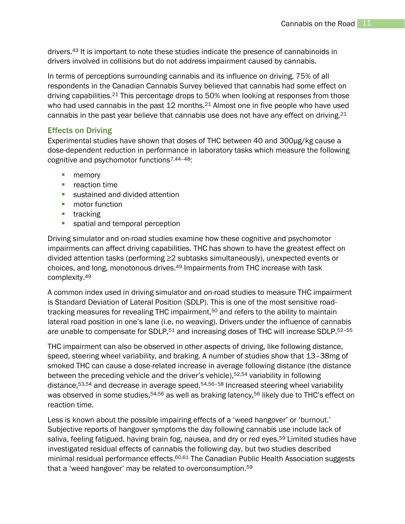drivers.<sup>43</sup> It is important to note these studies indicate the presence of cannabinoids in drivers involved in collisions but do not address impairment caused by cannabis.

In terms of perceptions surrounding cannabis and its influence on driving, 75% of all respondents in the Canadian Cannabis Survey believed that cannabis had some effect on driving capabilities.<sup>21</sup> This percentage drops to 50% when looking at responses from those who had used cannabis in the past 12 months.<sup>21</sup> Almost one in five people who have used cannabis in the past year believe that cannabis use does not have any effect on driving.<sup>21</sup>

#### <span id="page-11-0"></span>Effects on Driving

Experimental studies have shown that doses of THC between 40 and 300µg/kg cause a dose-dependent reduction in performance in laboratory tasks which measure the following cognitive and psychomotor functions7,44–48:

- **nemory**
- **•** reaction time
- sustained and divided attention
- **n** motor function
- $\blacksquare$  tracking
- **spatial and temporal perception**

Driving simulator and on-road studies examine how these cognitive and psychomotor impairments can affect driving capabilities. THC has shown to have the greatest effect on divided attention tasks (performing ≥2 subtasks simultaneously), unexpected events or choices, and long, monotonous drives.<sup>49</sup> Impairments from THC increase with task complexity.<sup>49</sup>

A common index used in driving simulator and on-road studies to measure THC impairment is Standard Deviation of Lateral Position (SDLP). This is one of the most sensitive roadtracking measures for revealing THC impairment,<sup>50</sup> and refers to the ability to maintain lateral road position in one's lane (i.e. no weaving). Drivers under the influence of cannabis are unable to compensate for SDLP,<sup>51</sup> and increasing doses of THC will increase SDLP.<sup>52-55</sup>

THC impairment can also be observed in other aspects of driving, like following distance, speed, steering wheel variability, and braking. A number of studies show that 13–38mg of smoked THC can cause a dose-related increase in average following distance (the distance between the preceding vehicle and the driver's vehicle),<sup>52,54</sup> variability in following distance,53,54 and decrease in average speed.54,56–<sup>58</sup> Increased steering wheel variability was observed in some studies,<sup>54,56</sup> as well as braking latency,<sup>56</sup> likely due to THC's effect on reaction time.

Less is known about the possible impairing effects of a 'weed hangover' or 'burnout.' Subjective reports of hangover symptoms the day following cannabis use include lack of saliva, feeling fatigued, having brain fog, nausea, and dry or red eyes.<sup>59</sup> Limited studies have investigated residual effects of cannabis the following day, but two studies described minimal residual performance effects.<sup>60,61</sup> The Canadian Public Health Association suggests that a 'weed hangover' may be related to overconsumption.59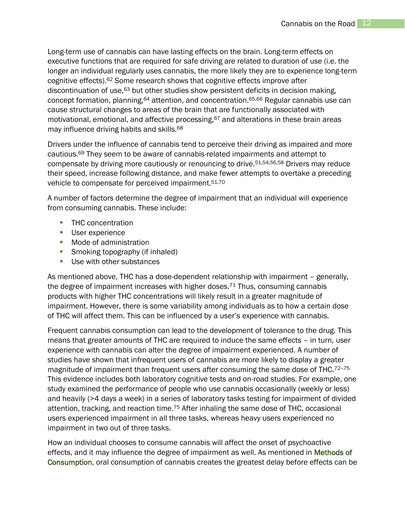Long-term use of cannabis can have lasting effects on the brain. Long-term effects on executive functions that are required for safe driving are related to duration of use (i.e. the longer an individual regularly uses cannabis, the more likely they are to experience long-term cognitive effects).<sup>62</sup> Some research shows that cognitive effects improve after discontinuation of use,<sup>63</sup> but other studies show persistent deficits in decision making, concept formation, planning,<sup>64</sup> attention, and concentration.65,66 Regular cannabis use can cause structural changes to areas of the brain that are functionally associated with motivational, emotional, and affective processing,<sup>67</sup> and alterations in these brain areas may influence driving habits and skills.<sup>68</sup>

Drivers under the influence of cannabis tend to perceive their driving as impaired and more cautious.<sup>69</sup> They seem to be aware of cannabis-related impairments and attempt to compensate by driving more cautiously or renouncing to drive.51,54,56,58 Drivers may reduce their speed, increase following distance, and make fewer attempts to overtake a preceding vehicle to compensate for perceived impairment.<sup>51,70</sup>

A number of factors determine the degree of impairment that an individual will experience from consuming cannabis. These include:

- **THC concentration**
- **User experience**
- **Node of administration**
- **Smoking topography (if inhaled)**
- **Use with other substances**

As mentioned above, THC has a dose-dependent relationship with impairment – generally, the degree of impairment increases with higher doses.<sup>71</sup> Thus, consuming cannabis products with higher THC concentrations will likely result in a greater magnitude of impairment. However, there is some variability among individuals as to how a certain dose of THC will affect them. This can be influenced by a user's experience with cannabis.

Frequent cannabis consumption can lead to the development of tolerance to the drug. This means that greater amounts of THC are required to induce the same effects – in turn, user experience with cannabis can alter the degree of impairment experienced. A number of studies have shown that infrequent users of cannabis are more likely to display a greater magnitude of impairment than frequent users after consuming the same dose of THC. $72-75$ This evidence includes both laboratory cognitive tests and on-road studies. For example, one study examined the performance of people who use cannabis occasionally (weekly or less) and heavily (>4 days a week) in a series of laboratory tasks testing for impairment of divided attention, tracking, and reaction time.<sup>75</sup> After inhaling the same dose of THC, occasional users experienced impairment in all three tasks, whereas heavy users experienced no impairment in two out of three tasks.

How an individual chooses to consume cannabis will affect the onset of psychoactive effects, and it may influence the degree of impairment as well. As mentioned in [Methods of](#page-6-0)  [Consumption,](#page-6-0) oral consumption of cannabis creates the greatest delay before effects can be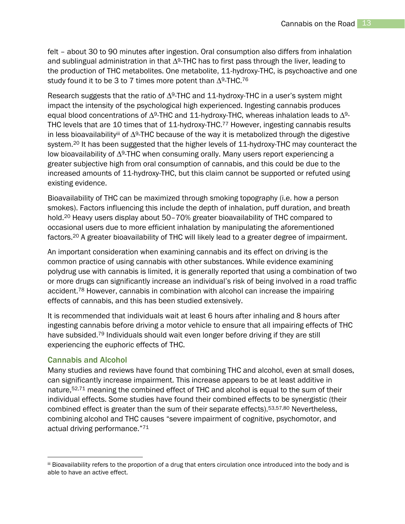felt – about 30 to 90 minutes after ingestion. Oral consumption also differs from inhalation and sublingual administration in that ∆9-THC has to first pass through the liver, leading to the production of THC metabolites. One metabolite, 11-hydroxy-THC, is psychoactive and one study found it to be 3 to 7 times more potent than  $\Delta^{9}\text{-}\text{THC}.^{76}$ 

Research suggests that the ratio of ∆9-THC and 11-hydroxy-THC in a user's system might impact the intensity of the psychological high experienced. Ingesting cannabis produces equal blood concentrations of  $\Delta^{9}$ -THC and 11-hydroxy-THC, whereas inhalation leads to  $\Delta^{9}$ -THC levels that are 10 times that of 11-hydroxy-THC.<sup>77</sup> However, ingesting cannabis results in less bioavailabilityiii of ∆9-THC because of the way it is metabolized through the digestive system.<sup>20</sup> It has been suggested that the higher levels of 11-hydroxy-THC may counteract the low bioavailability of ∆9-THC when consuming orally. Many users report experiencing a greater subjective high from oral consumption of cannabis, and this could be due to the increased amounts of 11-hydroxy-THC, but this claim cannot be supported or refuted using existing evidence.

Bioavailability of THC can be maximized through smoking topography (i.e. how a person smokes). Factors influencing this include the depth of inhalation, puff duration, and breath hold.<sup>20</sup> Heavy users display about 50–70% greater bioavailability of THC compared to occasional users due to more efficient inhalation by manipulating the aforementioned factors.<sup>20</sup> A greater bioavailability of THC will likely lead to a greater degree of impairment.

An important consideration when examining cannabis and its effect on driving is the common practice of using cannabis with other substances. While evidence examining polydrug use with cannabis is limited, it is generally reported that using a combination of two or more drugs can significantly increase an individual's risk of being involved in a road traffic accident. <sup>78</sup> However, cannabis in combination with alcohol can increase the impairing effects of cannabis, and this has been studied extensively.

It is recommended that individuals wait at least 6 hours after inhaling and 8 hours after ingesting cannabis before driving a motor vehicle to ensure that all impairing effects of THC have subsided.<sup>79</sup> Individuals should wait even longer before driving if they are still experiencing the euphoric effects of THC.

#### <span id="page-13-0"></span>Cannabis and Alcohol

 $\overline{a}$ 

Many studies and reviews have found that combining THC and alcohol, even at small doses, can significantly increase impairment. This increase appears to be at least additive in nature, 52,71 meaning the combined effect of THC and alcohol is equal to the sum of their individual effects. Some studies have found their combined effects to be synergistic (their combined effect is greater than the sum of their separate effects).53,57,80 Nevertheless, combining alcohol and THC causes "severe impairment of cognitive, psychomotor, and actual driving performance."<sup>71</sup>

iii Bioavailability refers to the proportion of a drug that enters circulation once introduced into the body and is able to have an active effect.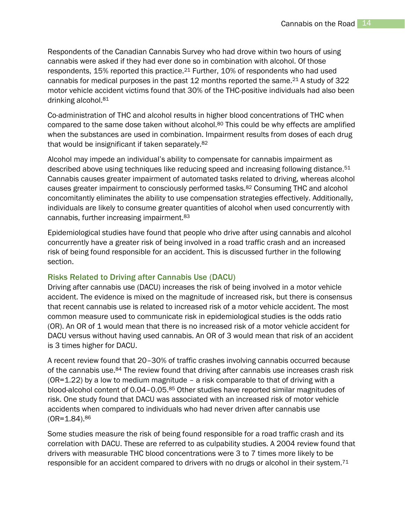Respondents of the Canadian Cannabis Survey who had drove within two hours of using cannabis were asked if they had ever done so in combination with alcohol. Of those respondents, 15% reported this practice.<sup>21</sup> Further, 10% of respondents who had used cannabis for medical purposes in the past 12 months reported the same.<sup>21</sup> A study of 322 motor vehicle accident victims found that 30% of the THC-positive individuals had also been drinking alcohol.<sup>81</sup>

Co-administration of THC and alcohol results in higher blood concentrations of THC when compared to the same dose taken without alcohol.<sup>80</sup> This could be why effects are amplified when the substances are used in combination. Impairment results from doses of each drug that would be insignificant if taken separately.<sup>82</sup>

Alcohol may impede an individual's ability to compensate for cannabis impairment as described above using techniques like reducing speed and increasing following distance.<sup>51</sup> Cannabis causes greater impairment of automated tasks related to driving, whereas alcohol causes greater impairment to consciously performed tasks.<sup>82</sup> Consuming THC and alcohol concomitantly eliminates the ability to use compensation strategies effectively. Additionally, individuals are likely to consume greater quantities of alcohol when used concurrently with cannabis, further increasing impairment.<sup>83</sup>

Epidemiological studies have found that people who drive after using cannabis and alcohol concurrently have a greater risk of being involved in a road traffic crash and an increased risk of being found responsible for an accident. This is discussed further in the following section.

#### <span id="page-14-0"></span>Risks Related to Driving after Cannabis Use (DACU)

Driving after cannabis use (DACU) increases the risk of being involved in a motor vehicle accident. The evidence is mixed on the magnitude of increased risk, but there is consensus that recent cannabis use is related to increased risk of a motor vehicle accident. The most common measure used to communicate risk in epidemiological studies is the odds ratio (OR). An OR of 1 would mean that there is no increased risk of a motor vehicle accident for DACU versus without having used cannabis. An OR of 3 would mean that risk of an accident is 3 times higher for DACU.

A recent review found that 20–30% of traffic crashes involving cannabis occurred because of the cannabis use.<sup>84</sup> The review found that driving after cannabis use increases crash risk (OR=1.22) by a low to medium magnitude – a risk comparable to that of driving with a blood-alcohol content of 0.04–0.05.<sup>85</sup> Other studies have reported similar magnitudes of risk. One study found that DACU was associated with an increased risk of motor vehicle accidents when compared to individuals who had never driven after cannabis use  $(OR=1.84).^{86}$ 

Some studies measure the risk of being found responsible for a road traffic crash and its correlation with DACU. These are referred to as culpability studies. A 2004 review found that drivers with measurable THC blood concentrations were 3 to 7 times more likely to be responsible for an accident compared to drivers with no drugs or alcohol in their system.<sup>71</sup>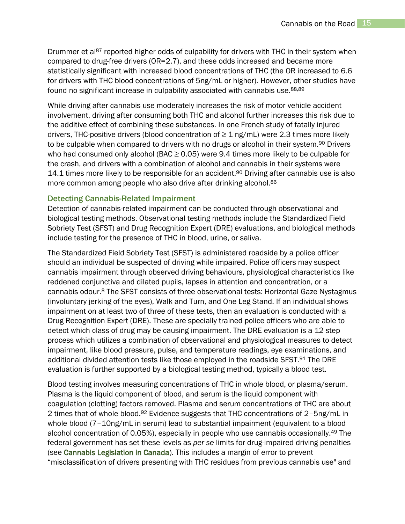Drummer et al<sup>87</sup> reported higher odds of culpability for drivers with THC in their system when compared to drug-free drivers (OR=2.7), and these odds increased and became more statistically significant with increased blood concentrations of THC (the OR increased to 6.6 for drivers with THC blood concentrations of 5ng/mL or higher). However, other studies have found no significant increase in culpability associated with cannabis use.<sup>88,89</sup>

While driving after cannabis use moderately increases the risk of motor vehicle accident involvement, driving after consuming both THC and alcohol further increases this risk due to the additive effect of combining these substances. In one French study of fatally injured drivers, THC-positive drivers (blood concentration of  $\geq 1$  ng/mL) were 2.3 times more likely to be culpable when compared to drivers with no drugs or alcohol in their system.<sup>90</sup> Drivers who had consumed only alcohol (BAC  $\geq$  0.05) were 9.4 times more likely to be culpable for the crash, and drivers with a combination of alcohol and cannabis in their systems were 14.1 times more likely to be responsible for an accident.<sup>90</sup> Driving after cannabis use is also more common among people who also drive after drinking alcohol.<sup>86</sup>

#### <span id="page-15-0"></span>Detecting Cannabis-Related Impairment

Detection of cannabis-related impairment can be conducted through observational and biological testing methods. Observational testing methods include the Standardized Field Sobriety Test (SFST) and Drug Recognition Expert (DRE) evaluations, and biological methods include testing for the presence of THC in blood, urine, or saliva.

The Standardized Field Sobriety Test (SFST) is administered roadside by a police officer should an individual be suspected of driving while impaired. Police officers may suspect cannabis impairment through observed driving behaviours, physiological characteristics like reddened conjunctiva and dilated pupils, lapses in attention and concentration, or a cannabis odour.<sup>8</sup> The SFST consists of three observational tests: Horizontal Gaze Nystagmus (involuntary jerking of the eyes), Walk and Turn, and One Leg Stand. If an individual shows impairment on at least two of three of these tests, then an evaluation is conducted with a Drug Recognition Expert (DRE). These are specially trained police officers who are able to detect which class of drug may be causing impairment. The DRE evaluation is a 12 step process which utilizes a combination of observational and physiological measures to detect impairment, like blood pressure, pulse, and temperature readings, eye examinations, and additional divided attention tests like those employed in the roadside SFST.<sup>91</sup> The DRE evaluation is further supported by a biological testing method, typically a blood test.

Blood testing involves measuring concentrations of THC in whole blood, or plasma/serum. Plasma is the liquid component of blood, and serum is the liquid component with coagulation (clotting) factors removed. Plasma and serum concentrations of THC are about 2 times that of whole blood.<sup>92</sup> Evidence suggests that THC concentrations of 2-5ng/mL in whole blood (7-10ng/mL in serum) lead to substantial impairment (equivalent to a blood alcohol concentration of 0.05%), especially in people who use cannabis occasionally. <sup>49</sup> The federal government has set these levels as *per se* limits for drug-impaired driving penalties (see [Cannabis Legislation in Canada\)](#page-8-0). This includes a margin of error to prevent "misclassification of drivers presenting with THC residues from previous cannabis use" and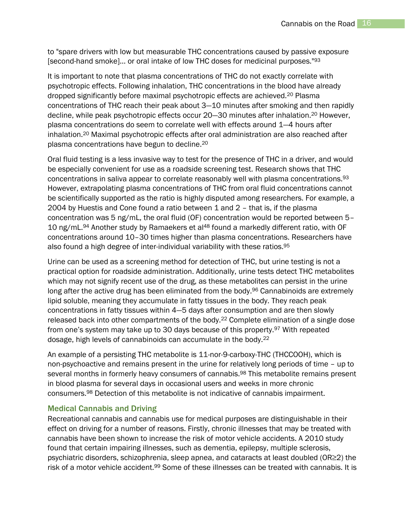to "spare drivers with low but measurable THC concentrations caused by passive exposure [second-hand smoke]… or oral intake of low THC doses for medicinal purposes."<sup>93</sup>

It is important to note that plasma concentrations of THC do not exactly correlate with psychotropic effects. Following inhalation, THC concentrations in the blood have already dropped significantly before maximal psychotropic effects are achieved.<sup>20</sup> Plasma concentrations of THC reach their peak about 3—10 minutes after smoking and then rapidly decline, while peak psychotropic effects occur 20—30 minutes after inhalation.<sup>20</sup> However, plasma concentrations do seem to correlate well with effects around 1—4 hours after inhalation.<sup>20</sup> Maximal psychotropic effects after oral administration are also reached after plasma concentrations have begun to decline.<sup>20</sup>

Oral fluid testing is a less invasive way to test for the presence of THC in a driver, and would be especially convenient for use as a roadside screening test. Research shows that THC concentrations in saliva appear to correlate reasonably well with plasma concentrations.<sup>93</sup> However, extrapolating plasma concentrations of THC from oral fluid concentrations cannot be scientifically supported as the ratio is highly disputed among researchers. For example, a 2004 by Huestis and Cone found a ratio between 1 and 2 – that is, if the plasma concentration was 5 ng/mL, the oral fluid (OF) concentration would be reported between 5– 10 ng/mL.<sup>94</sup> Another study by Ramaekers et al<sup>48</sup> found a markedly different ratio, with OF concentrations around 10–30 times higher than plasma concentrations. Researchers have also found a high degree of inter-individual variability with these ratios.<sup>95</sup>

Urine can be used as a screening method for detection of THC, but urine testing is not a practical option for roadside administration. Additionally, urine tests detect THC metabolites which may not signify recent use of the drug, as these metabolites can persist in the urine long after the active drug has been eliminated from the body.<sup>96</sup> Cannabinoids are extremely lipid soluble, meaning they accumulate in fatty tissues in the body. They reach peak concentrations in fatty tissues within 4—5 days after consumption and are then slowly released back into other compartments of the body.<sup>22</sup> Complete elimination of a single dose from one's system may take up to 30 days because of this property.<sup>97</sup> With repeated dosage, high levels of cannabinoids can accumulate in the body.<sup>22</sup>

An example of a persisting THC metabolite is 11-nor-9-carboxy-THC (THCCOOH), which is non-psychoactive and remains present in the urine for relatively long periods of time – up to several months in formerly heavy consumers of cannabis.<sup>98</sup> This metabolite remains present in blood plasma for several days in occasional users and weeks in more chronic consumers.<sup>98</sup> Detection of this metabolite is not indicative of cannabis impairment.

#### <span id="page-16-0"></span>Medical Cannabis and Driving

Recreational cannabis and cannabis use for medical purposes are distinguishable in their effect on driving for a number of reasons. Firstly, chronic illnesses that may be treated with cannabis have been shown to increase the risk of motor vehicle accidents. A 2010 study found that certain impairing illnesses, such as dementia, epilepsy, multiple sclerosis, psychiatric disorders, schizophrenia, sleep apnea, and cataracts at least doubled (OR≥2) the risk of a motor vehicle accident.<sup>99</sup> Some of these illnesses can be treated with cannabis. It is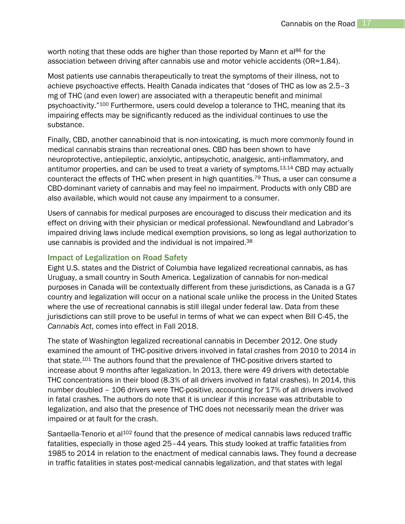worth noting that these odds are higher than those reported by Mann et al<sup>86</sup> for the association between driving after cannabis use and motor vehicle accidents (OR=1.84).

Most patients use cannabis therapeutically to treat the symptoms of their illness, not to achieve psychoactive effects. Health Canada indicates that "doses of THC as low as 2.5–3 mg of THC (and even lower) are associated with a therapeutic benefit and minimal psychoactivity."<sup>100</sup> Furthermore, users could develop a tolerance to THC, meaning that its impairing effects may be significantly reduced as the individual continues to use the substance.

Finally, CBD, another cannabinoid that is non-intoxicating, is much more commonly found in medical cannabis strains than recreational ones. CBD has been shown to have neuroprotective, antiepileptic, anxiolytic, antipsychotic, analgesic, anti-inflammatory, and antitumor properties, and can be used to treat a variety of symptoms.13,14 CBD may actually counteract the effects of THC when present in high quantities.<sup>79</sup> Thus, a user can consume a CBD-dominant variety of cannabis and may feel no impairment. Products with only CBD are also available, which would not cause any impairment to a consumer.

Users of cannabis for medical purposes are encouraged to discuss their medication and its effect on driving with their physician or medical professional. Newfoundland and Labrador's impaired driving laws include medical exemption provisions, so long as legal authorization to use cannabis is provided and the individual is not impaired.<sup>38</sup>

#### <span id="page-17-0"></span>Impact of Legalization on Road Safety

Eight U.S. states and the District of Columbia have legalized recreational cannabis, as has Uruguay, a small country in South America. Legalization of cannabis for non-medical purposes in Canada will be contextually different from these jurisdictions, as Canada is a G7 country and legalization will occur on a national scale unlike the process in the United States where the use of recreational cannabis is still illegal under federal law. Data from these jurisdictions can still prove to be useful in terms of what we can expect when Bill C-45, the *Cannabis Act*, comes into effect in Fall 2018.

The state of Washington legalized recreational cannabis in December 2012. One study examined the amount of THC-positive drivers involved in fatal crashes from 2010 to 2014 in that state.<sup>101</sup> The authors found that the prevalence of THC-positive drivers started to increase about 9 months after legalization. In 2013, there were 49 drivers with detectable THC concentrations in their blood (8.3% of all drivers involved in fatal crashes). In 2014, this number doubled – 106 drivers were THC-positive, accounting for 17% of all drivers involved in fatal crashes. The authors do note that it is unclear if this increase was attributable to legalization, and also that the presence of THC does not necessarily mean the driver was impaired or at fault for the crash.

Santaella-Tenorio et al<sup>102</sup> found that the presence of medical cannabis laws reduced traffic fatalities, especially in those aged 25–44 years. This study looked at traffic fatalities from 1985 to 2014 in relation to the enactment of medical cannabis laws. They found a decrease in traffic fatalities in states post-medical cannabis legalization, and that states with legal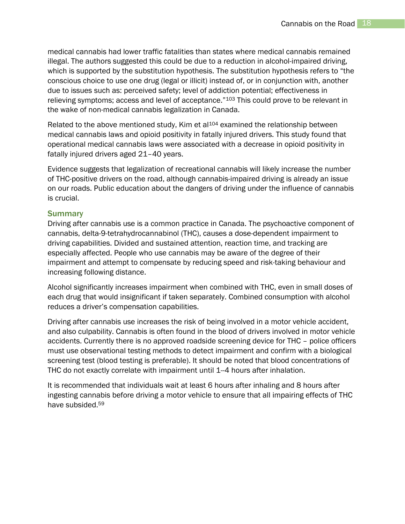medical cannabis had lower traffic fatalities than states where medical cannabis remained illegal. The authors suggested this could be due to a reduction in alcohol-impaired driving, which is supported by the substitution hypothesis. The substitution hypothesis refers to "the conscious choice to use one drug (legal or illicit) instead of, or in conjunction with, another due to issues such as: perceived safety; level of addiction potential; effectiveness in relieving symptoms; access and level of acceptance."<sup>103</sup> This could prove to be relevant in the wake of non-medical cannabis legalization in Canada.

Related to the above mentioned study, Kim et al<sup>104</sup> examined the relationship between medical cannabis laws and opioid positivity in fatally injured drivers. This study found that operational medical cannabis laws were associated with a decrease in opioid positivity in fatally injured drivers aged 21–40 years.

Evidence suggests that legalization of recreational cannabis will likely increase the number of THC-positive drivers on the road, although cannabis-impaired driving is already an issue on our roads. Public education about the dangers of driving under the influence of cannabis is crucial.

#### <span id="page-18-0"></span>**Summary**

Driving after cannabis use is a common practice in Canada. The psychoactive component of cannabis, delta-9-tetrahydrocannabinol (THC), causes a dose-dependent impairment to driving capabilities. Divided and sustained attention, reaction time, and tracking are especially affected. People who use cannabis may be aware of the degree of their impairment and attempt to compensate by reducing speed and risk-taking behaviour and increasing following distance.

Alcohol significantly increases impairment when combined with THC, even in small doses of each drug that would insignificant if taken separately. Combined consumption with alcohol reduces a driver's compensation capabilities.

Driving after cannabis use increases the risk of being involved in a motor vehicle accident, and also culpability. Cannabis is often found in the blood of drivers involved in motor vehicle accidents. Currently there is no approved roadside screening device for THC – police officers must use observational testing methods to detect impairment and confirm with a biological screening test (blood testing is preferable). It should be noted that blood concentrations of THC do not exactly correlate with impairment until 1--4 hours after inhalation.

It is recommended that individuals wait at least 6 hours after inhaling and 8 hours after ingesting cannabis before driving a motor vehicle to ensure that all impairing effects of THC have subsided.59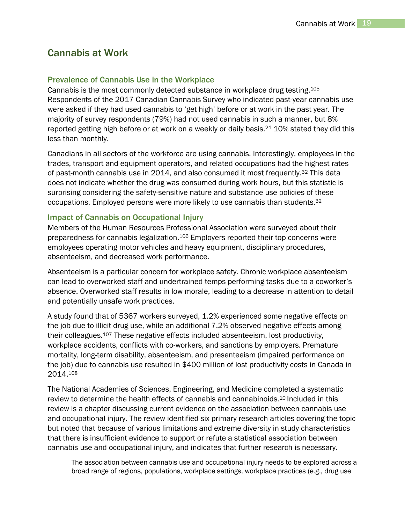## <span id="page-19-0"></span>Cannabis at Work

#### <span id="page-19-1"></span>Prevalence of Cannabis Use in the Workplace

Cannabis is the most commonly detected substance in workplace drug testing.<sup>105</sup> Respondents of the 2017 Canadian Cannabis Survey who indicated past-year cannabis use were asked if they had used cannabis to 'get high' before or at work in the past year. The majority of survey respondents (79%) had not used cannabis in such a manner, but 8% reported getting high before or at work on a weekly or daily basis.<sup>21</sup> 10% stated they did this less than monthly.

Canadians in all sectors of the workforce are using cannabis. Interestingly, employees in the trades, transport and equipment operators, and related occupations had the highest rates of past-month cannabis use in 2014, and also consumed it most frequently.<sup>32</sup> This data does not indicate whether the drug was consumed during work hours, but this statistic is surprising considering the safety-sensitive nature and substance use policies of these occupations. Employed persons were more likely to use cannabis than students.<sup>32</sup>

#### <span id="page-19-2"></span>Impact of Cannabis on Occupational Injury

Members of the Human Resources Professional Association were surveyed about their preparedness for cannabis legalization. <sup>106</sup> Employers reported their top concerns were employees operating motor vehicles and heavy equipment, disciplinary procedures, absenteeism, and decreased work performance.

Absenteeism is a particular concern for workplace safety. Chronic workplace absenteeism can lead to overworked staff and undertrained temps performing tasks due to a coworker's absence. Overworked staff results in low morale, leading to a decrease in attention to detail and potentially unsafe work practices.

A study found that of 5367 workers surveyed, 1.2% experienced some negative effects on the job due to illicit drug use, while an additional 7.2% observed negative effects among their colleagues.<sup>107</sup> These negative effects included absenteeism, lost productivity, workplace accidents, conflicts with co-workers, and sanctions by employers. Premature mortality, long-term disability, absenteeism, and presenteeism (impaired performance on the job) due to cannabis use resulted in \$400 million of lost productivity costs in Canada in 2014.<sup>108</sup>

The National Academies of Sciences, Engineering, and Medicine completed a systematic review to determine the health effects of cannabis and cannabinoids.<sup>10</sup> Included in this review is a chapter discussing current evidence on the association between cannabis use and occupational injury. The review identified six primary research articles covering the topic but noted that because of various limitations and extreme diversity in study characteristics that there is insufficient evidence to support or refute a statistical association between cannabis use and occupational injury, and indicates that further research is necessary.

The association between cannabis use and occupational injury needs to be explored across a broad range of regions, populations, workplace settings, workplace practices (e.g., drug use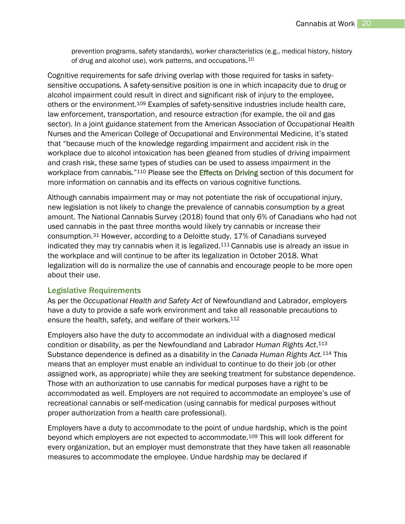prevention programs, safety standards), worker characteristics (e.g., medical history, history of drug and alcohol use), work patterns, and occupations.<sup>10</sup>

Cognitive requirements for safe driving overlap with those required for tasks in safetysensitive occupations. A safety-sensitive position is one in which incapacity due to drug or alcohol impairment could result in direct and significant risk of injury to the employee, others or the environment.<sup>109</sup> Examples of safety-sensitive industries include health care, law enforcement, transportation, and resource extraction (for example, the oil and gas sector). In a joint guidance statement from the American Association of Occupational Health Nurses and the American College of Occupational and Environmental Medicine, it's stated that "because much of the knowledge regarding impairment and accident risk in the workplace due to alcohol intoxication has been gleaned from studies of driving impairment and crash risk, these same types of studies can be used to assess impairment in the workplace from cannabis."<sup>110</sup> Please see the **Effects on Driving** section of this document for more information on cannabis and its effects on various cognitive functions.

Although cannabis impairment may or may not potentiate the risk of occupational injury, new legislation is not likely to change the prevalence of cannabis consumption by a great amount. The National Cannabis Survey (2018) found that only 6% of Canadians who had not used cannabis in the past three months would likely try cannabis or increase their consumption.<sup>31</sup> However, according to a Deloitte study, 17% of Canadians surveyed indicated they may try cannabis when it is legalized.<sup>111</sup> Cannabis use is already an issue in the workplace and will continue to be after its legalization in October 2018. What legalization will do is normalize the use of cannabis and encourage people to be more open about their use.

#### <span id="page-20-0"></span>Legislative Requirements

As per the *Occupational Health and Safety Act* of Newfoundland and Labrador, employers have a duty to provide a safe work environment and take all reasonable precautions to ensure the health, safety, and welfare of their workers.<sup>112</sup>

Employers also have the duty to accommodate an individual with a diagnosed medical condition or disability, as per the Newfoundland and Labrador *Human Rights Act*. 113 Substance dependence is defined as a disability in the *Canada Human Rights Act.*<sup>114</sup> This means that an employer must enable an individual to continue to do their job (or other assigned work, as appropriate) while they are seeking treatment for substance dependence. Those with an authorization to use cannabis for medical purposes have a right to be accommodated as well. Employers are not required to accommodate an employee's use of recreational cannabis or self-medication (using cannabis for medical purposes without proper authorization from a health care professional).

Employers have a duty to accommodate to the point of undue hardship, which is the point beyond which employers are not expected to accommodate.<sup>109</sup> This will look different for every organization, but an employer must demonstrate that they have taken all reasonable measures to accommodate the employee. Undue hardship may be declared if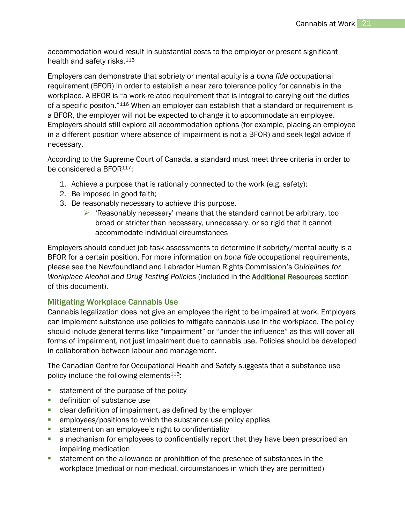accommodation would result in substantial costs to the employer or present significant health and safety risks.<sup>115</sup>

Employers can demonstrate that sobriety or mental acuity is a *bona fide* occupational requirement (BFOR) in order to establish a near zero tolerance policy for cannabis in the workplace. A BFOR is "a work-related requirement that is integral to carrying out the duties of a specific positon."<sup>116</sup> When an employer can establish that a standard or requirement is a BFOR, the employer will not be expected to change it to accommodate an employee. Employers should still explore all accommodation options (for example, placing an employee in a different position where absence of impairment is not a BFOR) and seek legal advice if necessary.

According to the Supreme Court of Canada, a standard must meet three criteria in order to be considered a BFOR<sup>117</sup>:

- 1. Achieve a purpose that is rationally connected to the work (e.g. safety);
- 2. Be imposed in good faith;
- 3. Be reasonably necessary to achieve this purpose.
	- $\triangleright$  'Reasonably necessary' means that the standard cannot be arbitrary, too broad or stricter than necessary, unnecessary, or so rigid that it cannot accommodate individual circumstances

Employers should conduct job task assessments to determine if sobriety/mental acuity is a BFOR for a certain position. For more information on *bona fide* occupational requirements, please see the Newfoundland and Labrador Human Rights Commission's *Guidelines for Workplace Alcohol and Drug Testing Policies* (included in the [Additional Resources](#page-37-0) section of this document).

#### <span id="page-21-0"></span>Mitigating Workplace Cannabis Use

Cannabis legalization does not give an employee the right to be impaired at work. Employers can implement substance use policies to mitigate cannabis use in the workplace. The policy should include general terms like "impairment" or "under the influence" as this will cover all forms of impairment, not just impairment due to cannabis use. Policies should be developed in collaboration between labour and management.

The Canadian Centre for Occupational Health and Safety suggests that a substance use policy include the following elements $115$ :

- statement of the purpose of the policy
- **definition of substance use**
- clear definition of impairment, as defined by the employer
- **EXECO EMPLOYER EMPLOYERS** employees/positions to which the substance use policy applies
- statement on an employee's right to confidentiality
- a mechanism for employees to confidentially report that they have been prescribed an impairing medication
- statement on the allowance or prohibition of the presence of substances in the workplace (medical or non-medical, circumstances in which they are permitted)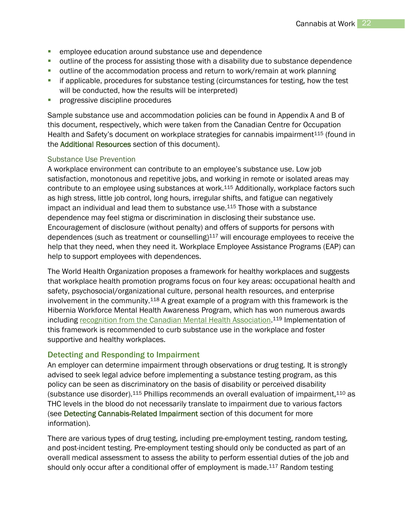- **EXECTE EXECTE EDGE EDGE EDGE EDGE EDGE** employee education around substance use and dependence
- **•** outline of the process for assisting those with a disability due to substance dependence
- outline of the accommodation process and return to work/remain at work planning
- if applicable, procedures for substance testing (circumstances for testing, how the test will be conducted, how the results will be interpreted)
- **Part of progressive discipline procedures**

Sample substance use and accommodation policies can be found in Appendix A and B of this document, respectively, which were taken from the Canadian Centre for Occupation Health and Safety's document on workplace strategies for cannabis impairment<sup>115</sup> (found in the [Additional Resources](#page-37-0) section of this document).

#### Substance Use Prevention

A workplace environment can contribute to an employee's substance use. Low job satisfaction, monotonous and repetitive jobs, and working in remote or isolated areas may contribute to an employee using substances at work.<sup>115</sup> Additionally, workplace factors such as high stress, little job control, long hours, irregular shifts, and fatigue can negatively impact an individual and lead them to substance use.<sup>115</sup> Those with a substance dependence may feel stigma or discrimination in disclosing their substance use. Encouragement of disclosure (without penalty) and offers of supports for persons with dependences (such as treatment or counselling) $117$  will encourage employees to receive the help that they need, when they need it. Workplace Employee Assistance Programs (EAP) can help to support employees with dependences.

The World Health Organization proposes a framework for healthy workplaces and suggests that workplace health promotion programs focus on four key areas: occupational health and safety, psychosocial/organizational culture, personal health resources, and enterprise involvement in the community.<sup>118</sup> A great example of a program with this framework is the Hibernia Workforce Mental Health Awareness Program, which has won numerous awards including [recognition from the Canadian Mental Health Association.](https://cmha.bc.ca/news/cmha-presents-the-2017-cm-hincks-workplace-award-to-hibernia/)<sup>119</sup> Implementation of this framework is recommended to curb substance use in the workplace and foster supportive and healthy workplaces.

#### <span id="page-22-0"></span>Detecting and Responding to Impairment

An employer can determine impairment through observations or drug testing. It is strongly advised to seek legal advice before implementing a substance testing program, as this policy can be seen as discriminatory on the basis of disability or perceived disability (substance use disorder).<sup>115</sup> Phillips recommends an overall evaluation of impairment,<sup>110</sup> as THC levels in the blood do not necessarily translate to impairment due to various factors (see [Detecting Cannabis-Related Impairment](#page-15-0) section of this document for more information).

There are various types of drug testing, including pre-employment testing, random testing, and post-incident testing. Pre-employment testing should only be conducted as part of an overall medical assessment to assess the ability to perform essential duties of the job and should only occur after a conditional offer of employment is made.<sup>117</sup> Random testing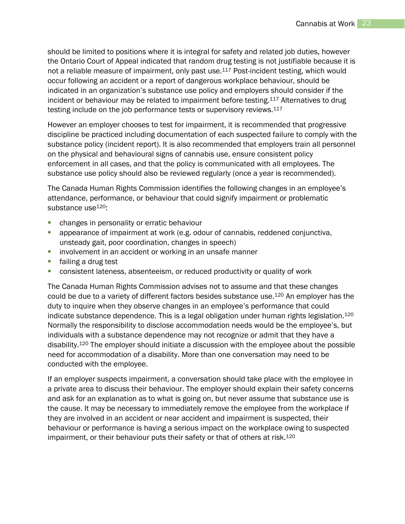should be limited to positions where it is integral for safety and related job duties, however the Ontario Court of Appeal indicated that random drug testing is not justifiable because it is not a reliable measure of impairment, only past use.<sup>117</sup> Post-incident testing, which would occur following an accident or a report of dangerous workplace behaviour, should be indicated in an organization's substance use policy and employers should consider if the incident or behaviour may be related to impairment before testing.<sup>117</sup> Alternatives to drug testing include on the job performance tests or supervisory reviews.<sup>117</sup>

However an employer chooses to test for impairment, it is recommended that progressive discipline be practiced including documentation of each suspected failure to comply with the substance policy (incident report). It is also recommended that employers train all personnel on the physical and behavioural signs of cannabis use, ensure consistent policy enforcement in all cases, and that the policy is communicated with all employees. The substance use policy should also be reviewed regularly (once a year is recommended).

The Canada Human Rights Commission identifies the following changes in an employee's attendance, performance, or behaviour that could signify impairment or problematic substance use<sup>120</sup>:

- **EXEC** changes in personality or erratic behaviour
- appearance of impairment at work (e.g. odour of cannabis, reddened conjunctiva, unsteady gait, poor coordination, changes in speech)
- **EXTER** involvement in an accident or working in an unsafe manner
- **failing a drug test**
- consistent lateness, absenteeism, or reduced productivity or quality of work

The Canada Human Rights Commission advises not to assume and that these changes could be due to a variety of different factors besides substance use.<sup>120</sup> An employer has the duty to inquire when they observe changes in an employee's performance that could indicate substance dependence. This is a legal obligation under human rights legislation.<sup>120</sup> Normally the responsibility to disclose accommodation needs would be the employee's, but individuals with a substance dependence may not recognize or admit that they have a disability.<sup>120</sup> The employer should initiate a discussion with the employee about the possible need for accommodation of a disability. More than one conversation may need to be conducted with the employee.

If an employer suspects impairment, a conversation should take place with the employee in a private area to discuss their behaviour. The employer should explain their safety concerns and ask for an explanation as to what is going on, but never assume that substance use is the cause. It may be necessary to immediately remove the employee from the workplace if they are involved in an accident or near accident and impairment is suspected, their behaviour or performance is having a serious impact on the workplace owing to suspected impairment, or their behaviour puts their safety or that of others at risk.<sup>120</sup>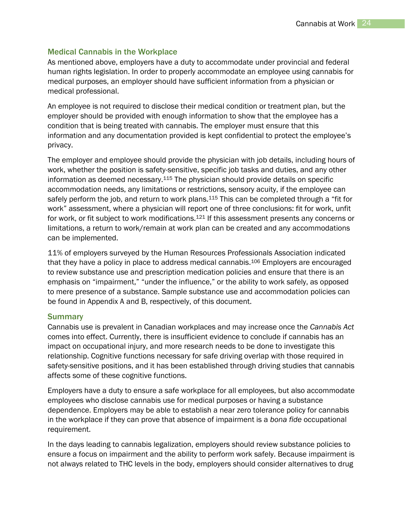#### <span id="page-24-0"></span>Medical Cannabis in the Workplace

As mentioned above, employers have a duty to accommodate under provincial and federal human rights legislation. In order to properly accommodate an employee using cannabis for medical purposes, an employer should have sufficient information from a physician or medical professional.

An employee is not required to disclose their medical condition or treatment plan, but the employer should be provided with enough information to show that the employee has a condition that is being treated with cannabis. The employer must ensure that this information and any documentation provided is kept confidential to protect the employee's privacy.

The employer and employee should provide the physician with job details, including hours of work, whether the position is safety-sensitive, specific job tasks and duties, and any other information as deemed necessary.<sup>115</sup> The physician should provide details on specific accommodation needs, any limitations or restrictions, sensory acuity, if the employee can safely perform the job, and return to work plans.<sup>115</sup> This can be completed through a "fit for work" assessment, where a physician will report one of three conclusions: fit for work, unfit for work, or fit subject to work modifications.<sup>121</sup> If this assessment presents any concerns or limitations, a return to work/remain at work plan can be created and any accommodations can be implemented.

11% of employers surveyed by the Human Resources Professionals Association indicated that they have a policy in place to address medical cannabis.<sup>106</sup> Employers are encouraged to review substance use and prescription medication policies and ensure that there is an emphasis on "impairment," "under the influence," or the ability to work safely, as opposed to mere presence of a substance. Sample substance use and accommodation policies can be found in Appendix A and B, respectively, of this document.

#### <span id="page-24-1"></span>**Summary**

Cannabis use is prevalent in Canadian workplaces and may increase once the *Cannabis Act*  comes into effect. Currently, there is insufficient evidence to conclude if cannabis has an impact on occupational injury, and more research needs to be done to investigate this relationship. Cognitive functions necessary for safe driving overlap with those required in safety-sensitive positions, and it has been established through driving studies that cannabis affects some of these cognitive functions.

Employers have a duty to ensure a safe workplace for all employees, but also accommodate employees who disclose cannabis use for medical purposes or having a substance dependence. Employers may be able to establish a near zero tolerance policy for cannabis in the workplace if they can prove that absence of impairment is a *bona fide* occupational requirement.

In the days leading to cannabis legalization, employers should review substance policies to ensure a focus on impairment and the ability to perform work safely. Because impairment is not always related to THC levels in the body, employers should consider alternatives to drug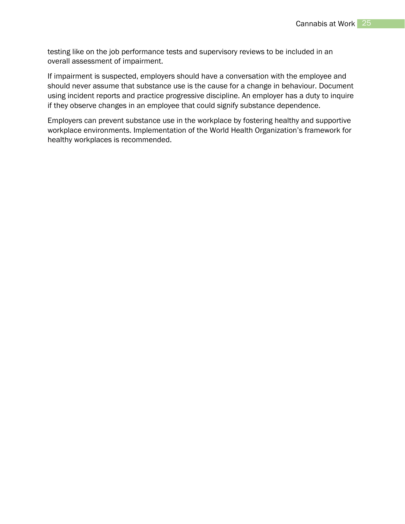testing like on the job performance tests and supervisory reviews to be included in an overall assessment of impairment.

If impairment is suspected, employers should have a conversation with the employee and should never assume that substance use is the cause for a change in behaviour. Document using incident reports and practice progressive discipline. An employer has a duty to inquire if they observe changes in an employee that could signify substance dependence.

Employers can prevent substance use in the workplace by fostering healthy and supportive workplace environments. Implementation of the World Health Organization's framework for healthy workplaces is recommended.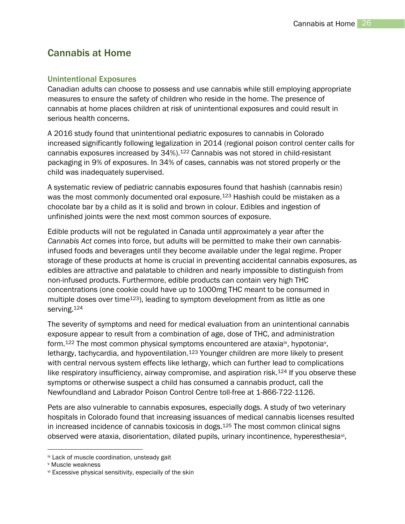## <span id="page-26-0"></span>Cannabis at Home

#### <span id="page-26-1"></span>Unintentional Exposures

Canadian adults can choose to possess and use cannabis while still employing appropriate measures to ensure the safety of children who reside in the home. The presence of cannabis at home places children at risk of unintentional exposures and could result in serious health concerns.

A 2016 study found that unintentional pediatric exposures to cannabis in Colorado increased significantly following legalization in 2014 (regional poison control center calls for cannabis exposures increased by 34%). <sup>122</sup> Cannabis was not stored in child-resistant packaging in 9% of exposures. In 34% of cases, cannabis was not stored properly or the child was inadequately supervised.

A systematic review of pediatric cannabis exposures found that hashish (cannabis resin) was the most commonly documented oral exposure.<sup>123</sup> Hashish could be mistaken as a chocolate bar by a child as it is solid and brown in colour. Edibles and ingestion of unfinished joints were the next most common sources of exposure.

Edible products will not be regulated in Canada until approximately a year after the *Cannabis Act* comes into force, but adults will be permitted to make their own cannabisinfused foods and beverages until they become available under the legal regime. Proper storage of these products at home is crucial in preventing accidental cannabis exposures, as edibles are attractive and palatable to children and nearly impossible to distinguish from non-infused products. Furthermore, edible products can contain very high THC concentrations (one cookie could have up to 1000mg THC meant to be consumed in multiple doses over time<sup>123</sup>), leading to symptom development from as little as one serving.<sup>124</sup>

The severity of symptoms and need for medical evaluation from an unintentional cannabis exposure appear to result from a combination of age, dose of THC, and administration form.<sup>122</sup> The most common physical symptoms encountered are ataxia<sup>iv</sup>, hypotonia<sup>v</sup>, lethargy, tachycardia, and hypoventilation.<sup>123</sup> Younger children are more likely to present with central nervous system effects like lethargy, which can further lead to complications like respiratory insufficiency, airway compromise, and aspiration risk. $124$  If you observe these symptoms or otherwise suspect a child has consumed a cannabis product, call the Newfoundland and Labrador Poison Control Centre toll-free at 1-866-722-1126.

Pets are also vulnerable to cannabis exposures, especially dogs. A study of two veterinary hospitals in Colorado found that increasing issuances of medical cannabis licenses resulted in increased incidence of cannabis toxicosis in dogs.<sup>125</sup> The most common clinical signs observed were ataxia, disorientation, dilated pupils, urinary incontinence, hyperesthesia<sup>vi</sup>,

l

iv Lack of muscle coordination, unsteady gait

<sup>v</sup> Muscle weakness

vi Excessive physical sensitivity, especially of the skin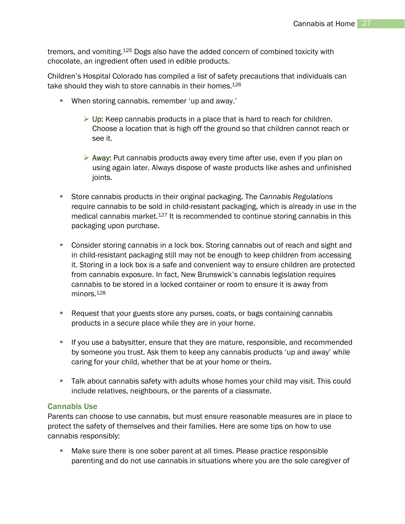tremors, and vomiting.<sup>125</sup> Dogs also have the added concern of combined toxicity with chocolate, an ingredient often used in edible products.

Children's Hospital Colorado has compiled a list of safety precautions that individuals can take should they wish to store cannabis in their homes.<sup>126</sup>

- When storing cannabis, remember 'up and away.'
	- $\triangleright$  Up: Keep cannabis products in a place that is hard to reach for children. Choose a location that is high off the ground so that children cannot reach or see it.
	- $\triangleright$  Away: Put cannabis products away every time after use, even if you plan on using again later. Always dispose of waste products like ashes and unfinished joints.
- Store cannabis products in their original packaging. The *Cannabis Regulations*  require cannabis to be sold in child-resistant packaging, which is already in use in the medical cannabis market.<sup>127</sup> It is recommended to continue storing cannabis in this packaging upon purchase.
- **Consider storing cannabis in a lock box. Storing cannabis out of reach and sight and** in child-resistant packaging still may not be enough to keep children from accessing it. Storing in a lock box is a safe and convenient way to ensure children are protected from cannabis exposure. In fact, New Brunswick's cannabis legislation requires cannabis to be stored in a locked container or room to ensure it is away from minors.<sup>128</sup>
- **Request that your guests store any purses, coats, or bags containing cannabis** products in a secure place while they are in your home.
- If you use a babysitter, ensure that they are mature, responsible, and recommended by someone you trust. Ask them to keep any cannabis products 'up and away' while caring for your child, whether that be at your home or theirs.
- Talk about cannabis safety with adults whose homes your child may visit. This could include relatives, neighbours, or the parents of a classmate.

#### <span id="page-27-0"></span>Cannabis Use

Parents can choose to use cannabis, but must ensure reasonable measures are in place to protect the safety of themselves and their families. Here are some tips on how to use cannabis responsibly:

**Make sure there is one sober parent at all times. Please practice responsible** parenting and do not use cannabis in situations where you are the sole caregiver of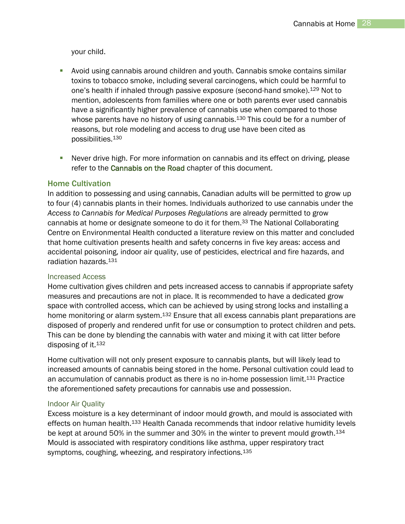your child.

- Avoid using cannabis around children and youth. Cannabis smoke contains similar toxins to tobacco smoke, including several carcinogens, which could be harmful to one's health if inhaled through passive exposure (second-hand smoke). <sup>129</sup> Not to mention, adolescents from families where one or both parents ever used cannabis have a significantly higher prevalence of cannabis use when compared to those whose parents have no history of using cannabis.<sup>130</sup> This could be for a number of reasons, but role modeling and access to drug use have been cited as possibilities.<sup>130</sup>
- Never drive high. For more information on cannabis and its effect on driving, please refer to the [Cannabis on the Road](#page-10-0) chapter of this document.

#### <span id="page-28-0"></span>Home Cultivation

In addition to possessing and using cannabis, Canadian adults will be permitted to grow up to four (4) cannabis plants in their homes. Individuals authorized to use cannabis under the *Access to Cannabis for Medical Purposes Regulations* are already permitted to grow cannabis at home or designate someone to do it for them.<sup>33</sup> The National Collaborating Centre on Environmental Health conducted a literature review on this matter and concluded that home cultivation presents health and safety concerns in five key areas: access and accidental poisoning, indoor air quality, use of pesticides, electrical and fire hazards, and radiation hazards.<sup>131</sup>

#### Increased Access

Home cultivation gives children and pets increased access to cannabis if appropriate safety measures and precautions are not in place. It is recommended to have a dedicated grow space with controlled access, which can be achieved by using strong locks and installing a home monitoring or alarm system.<sup>132</sup> Ensure that all excess cannabis plant preparations are disposed of properly and rendered unfit for use or consumption to protect children and pets. This can be done by blending the cannabis with water and mixing it with cat litter before disposing of it.<sup>132</sup>

Home cultivation will not only present exposure to cannabis plants, but will likely lead to increased amounts of cannabis being stored in the home. Personal cultivation could lead to an accumulation of cannabis product as there is no in-home possession limit.<sup>131</sup> Practice the aforementioned safety precautions for cannabis use and possession.

#### Indoor Air Quality

Excess moisture is a key determinant of indoor mould growth, and mould is associated with effects on human health.<sup>133</sup> Health Canada recommends that indoor relative humidity levels be kept at around 50% in the summer and 30% in the winter to prevent mould growth.<sup>134</sup> Mould is associated with respiratory conditions like asthma, upper respiratory tract symptoms, coughing, wheezing, and respiratory infections.<sup>135</sup>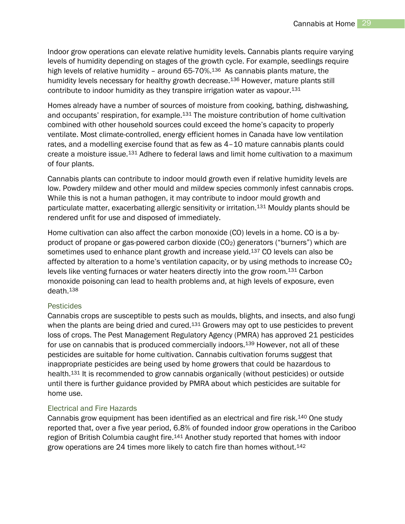Indoor grow operations can elevate relative humidity levels. Cannabis plants require varying levels of humidity depending on stages of the growth cycle. For example, seedlings require high levels of relative humidity - around 65-70%.<sup>136</sup> As cannabis plants mature, the humidity levels necessary for healthy growth decrease.<sup>136</sup> However, mature plants still contribute to indoor humidity as they transpire irrigation water as vapour.<sup>131</sup>

Homes already have a number of sources of moisture from cooking, bathing, dishwashing, and occupants' respiration, for example.<sup>131</sup> The moisture contribution of home cultivation combined with other household sources could exceed the home's capacity to properly ventilate. Most climate-controlled, energy efficient homes in Canada have low ventilation rates, and a modelling exercise found that as few as 4–10 mature cannabis plants could create a moisture issue.<sup>131</sup> Adhere to federal laws and limit home cultivation to a maximum of four plants.

Cannabis plants can contribute to indoor mould growth even if relative humidity levels are low. Powdery mildew and other mould and mildew species commonly infest cannabis crops. While this is not a human pathogen, it may contribute to indoor mould growth and particulate matter, exacerbating allergic sensitivity or irritation.<sup>131</sup> Mouldy plants should be rendered unfit for use and disposed of immediately.

Home cultivation can also affect the carbon monoxide (CO) levels in a home. CO is a byproduct of propane or gas-powered carbon dioxide  $(CO<sub>2</sub>)$  generators ("burners") which are sometimes used to enhance plant growth and increase yield.<sup>137</sup> CO levels can also be affected by alteration to a home's ventilation capacity, or by using methods to increase  $CO<sub>2</sub>$ levels like venting furnaces or water heaters directly into the grow room.<sup>131</sup> Carbon monoxide poisoning can lead to health problems and, at high levels of exposure, even death.<sup>138</sup>

#### **Pesticides**

Cannabis crops are susceptible to pests such as moulds, blights, and insects, and also fungi when the plants are being dried and cured. $131$  Growers may opt to use pesticides to prevent loss of crops. The Pest Management Regulatory Agency (PMRA) has approved 21 pesticides for use on cannabis that is produced commercially indoors.<sup>139</sup> However, not all of these pesticides are suitable for home cultivation. Cannabis cultivation forums suggest that inappropriate pesticides are being used by home growers that could be hazardous to health.<sup>131</sup> It is recommended to grow cannabis organically (without pesticides) or outside until there is further guidance provided by PMRA about which pesticides are suitable for home use.

#### Electrical and Fire Hazards

Cannabis grow equipment has been identified as an electrical and fire risk.<sup>140</sup> One study reported that, over a five year period, 6.8% of founded indoor grow operations in the Cariboo region of British Columbia caught fire.<sup>141</sup> Another study reported that homes with indoor grow operations are 24 times more likely to catch fire than homes without.142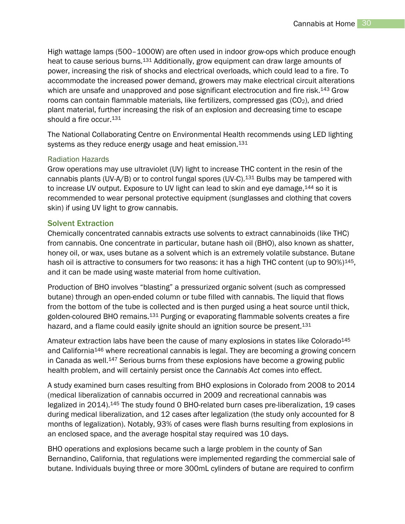High wattage lamps (500–1000W) are often used in indoor grow-ops which produce enough heat to cause serious burns.<sup>131</sup> Additionally, grow equipment can draw large amounts of power, increasing the risk of shocks and electrical overloads, which could lead to a fire. To accommodate the increased power demand, growers may make electrical circuit alterations which are unsafe and unapproved and pose significant electrocution and fire risk.<sup>143</sup> Grow rooms can contain flammable materials, like fertilizers, compressed gas  $(CO<sub>2</sub>)$ , and dried plant material, further increasing the risk of an explosion and decreasing time to escape should a fire occur. 131

The National Collaborating Centre on Environmental Health recommends using LED lighting systems as they reduce energy usage and heat emission.<sup>131</sup>

#### Radiation Hazards

Grow operations may use ultraviolet (UV) light to increase THC content in the resin of the cannabis plants (UV-A/B) or to control fungal spores (UV-C).<sup>131</sup> Bulbs may be tampered with to increase UV output. Exposure to UV light can lead to skin and eye damage, <sup>144</sup> so it is recommended to wear personal protective equipment (sunglasses and clothing that covers skin) if using UV light to grow cannabis.

#### <span id="page-30-0"></span>Solvent Extraction

Chemically concentrated cannabis extracts use solvents to extract cannabinoids (like THC) from cannabis. One concentrate in particular, butane hash oil (BHO), also known as shatter, honey oil, or wax, uses butane as a solvent which is an extremely volatile substance. Butane hash oil is attractive to consumers for two reasons: it has a high THC content (up to 90%)<sup>145</sup>. and it can be made using waste material from home cultivation.

Production of BHO involves "blasting" a pressurized organic solvent (such as compressed butane) through an open-ended column or tube filled with cannabis. The liquid that flows from the bottom of the tube is collected and is then purged using a heat source until thick, golden-coloured BHO remains.<sup>131</sup> Purging or evaporating flammable solvents creates a fire hazard, and a flame could easily ignite should an ignition source be present.<sup>131</sup>

Amateur extraction labs have been the cause of many explosions in states like Colorado<sup>145</sup> and California<sup>146</sup> where recreational cannabis is legal. They are becoming a growing concern in Canada as well.<sup>147</sup> Serious burns from these explosions have become a growing public health problem, and will certainly persist once the *Cannabis Act* comes into effect.

A study examined burn cases resulting from BHO explosions in Colorado from 2008 to 2014 (medical liberalization of cannabis occurred in 2009 and recreational cannabis was legalized in 2014).<sup>145</sup> The study found 0 BHO-related burn cases pre-liberalization, 19 cases during medical liberalization, and 12 cases after legalization (the study only accounted for 8 months of legalization). Notably, 93% of cases were flash burns resulting from explosions in an enclosed space, and the average hospital stay required was 10 days.

BHO operations and explosions became such a large problem in the county of San Bernandino, California, that regulations were implemented regarding the commercial sale of butane. Individuals buying three or more 300mL cylinders of butane are required to confirm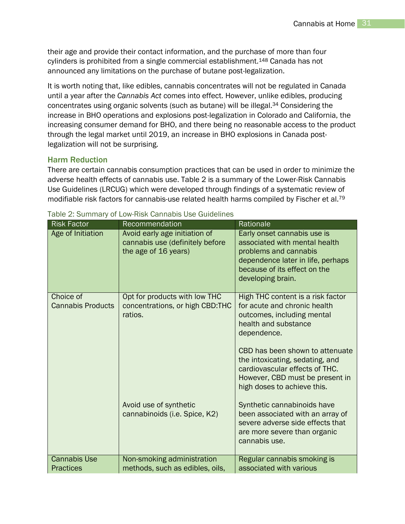their age and provide their contact information, and the purchase of more than four cylinders is prohibited from a single commercial establishment.<sup>148</sup> Canada has not announced any limitations on the purchase of butane post-legalization.

It is worth noting that, like edibles, cannabis concentrates will not be regulated in Canada until a year after the *Cannabis Act* comes into effect. However, unlike edibles, producing concentrates using organic solvents (such as butane) will be illegal.<sup>34</sup> Considering the increase in BHO operations and explosions post-legalization in Colorado and California, the increasing consumer demand for BHO, and there being no reasonable access to the product through the legal market until 2019, an increase in BHO explosions in Canada postlegalization will not be surprising.

#### <span id="page-31-0"></span>Harm Reduction

There are certain cannabis consumption practices that can be used in order to minimize the adverse health effects of cannabis use. Table 2 is a summary of the Lower-Risk Cannabis Use Guidelines (LRCUG) which were developed through findings of a systematic review of modifiable risk factors for cannabis-use related health harms compiled by Fischer et al.<sup>79</sup>

| <b>Risk Factor</b>                      | Recommendation                                                                                                                         | Rationale                                                                                                                                                                                                                                                                                                                                                                                                                                                                |
|-----------------------------------------|----------------------------------------------------------------------------------------------------------------------------------------|--------------------------------------------------------------------------------------------------------------------------------------------------------------------------------------------------------------------------------------------------------------------------------------------------------------------------------------------------------------------------------------------------------------------------------------------------------------------------|
| Age of Initiation                       | Avoid early age initiation of<br>cannabis use (definitely before<br>the age of 16 years)                                               | Early onset cannabis use is<br>associated with mental health<br>problems and cannabis<br>dependence later in life, perhaps<br>because of its effect on the<br>developing brain.                                                                                                                                                                                                                                                                                          |
| Choice of<br><b>Cannabis Products</b>   | Opt for products with low THC<br>concentrations, or high CBD:THC<br>ratios.<br>Avoid use of synthetic<br>cannabinoids (i.e. Spice, K2) | High THC content is a risk factor<br>for acute and chronic health<br>outcomes, including mental<br>health and substance<br>dependence.<br>CBD has been shown to attenuate<br>the intoxicating, sedating, and<br>cardiovascular effects of THC.<br>However, CBD must be present in<br>high doses to achieve this.<br>Synthetic cannabinoids have<br>been associated with an array of<br>severe adverse side effects that<br>are more severe than organic<br>cannabis use. |
| <b>Cannabis Use</b><br><b>Practices</b> | Non-smoking administration<br>methods, such as edibles, oils,                                                                          | Regular cannabis smoking is<br>associated with various                                                                                                                                                                                                                                                                                                                                                                                                                   |

Table 2: Summary of Low-Risk Cannabis Use Guidelines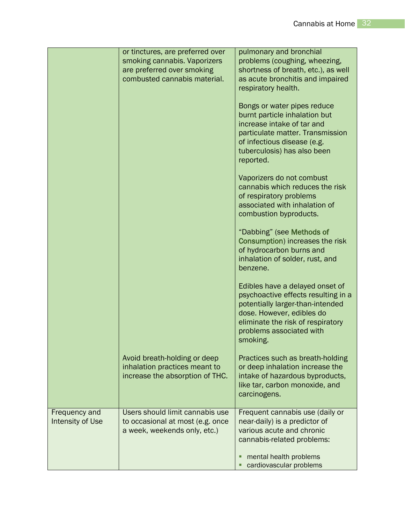|                                          | or tinctures, are preferred over<br>smoking cannabis. Vaporizers<br>are preferred over smoking<br>combusted cannabis material. | pulmonary and bronchial<br>problems (coughing, wheezing,<br>shortness of breath, etc.), as well<br>as acute bronchitis and impaired                                                                                              |
|------------------------------------------|--------------------------------------------------------------------------------------------------------------------------------|----------------------------------------------------------------------------------------------------------------------------------------------------------------------------------------------------------------------------------|
|                                          |                                                                                                                                | respiratory health.<br>Bongs or water pipes reduce<br>burnt particle inhalation but<br>increase intake of tar and<br>particulate matter. Transmission<br>of infectious disease (e.g.<br>tuberculosis) has also been<br>reported. |
|                                          |                                                                                                                                | Vaporizers do not combust<br>cannabis which reduces the risk<br>of respiratory problems<br>associated with inhalation of<br>combustion byproducts.                                                                               |
|                                          |                                                                                                                                | "Dabbing" (see Methods of<br>Consumption) increases the risk<br>of hydrocarbon burns and<br>inhalation of solder, rust, and<br>benzene.                                                                                          |
|                                          |                                                                                                                                | Edibles have a delayed onset of<br>psychoactive effects resulting in a<br>potentially larger-than-intended<br>dose. However, edibles do<br>eliminate the risk of respiratory<br>problems associated with<br>smoking.             |
|                                          | Avoid breath-holding or deep<br>inhalation practices meant to<br>increase the absorption of THC.                               | Practices such as breath-holding<br>or deep inhalation increase the<br>intake of hazardous byproducts,<br>like tar, carbon monoxide, and<br>carcinogens.                                                                         |
| Frequency and<br><b>Intensity of Use</b> | Users should limit cannabis use<br>to occasional at most (e.g. once<br>a week, weekends only, etc.)                            | Frequent cannabis use (daily or<br>near-daily) is a predictor of<br>various acute and chronic<br>cannabis-related problems:<br>mental health problems<br>cardiovascular problems                                                 |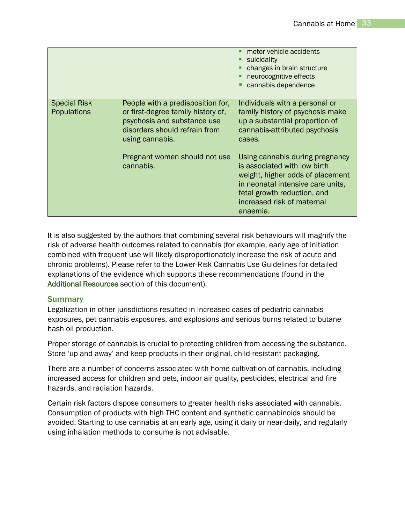|                                           |                                                                                                                                                            | motor vehicle accidents<br>suicidality<br>changes in brain structure<br>neurocognitive effects<br>cannabis dependence                                                                                             |
|-------------------------------------------|------------------------------------------------------------------------------------------------------------------------------------------------------------|-------------------------------------------------------------------------------------------------------------------------------------------------------------------------------------------------------------------|
| <b>Special Risk</b><br><b>Populations</b> | People with a predisposition for,<br>or first-degree family history of,<br>psychosis and substance use<br>disorders should refrain from<br>using cannabis. | Individuals with a personal or<br>family history of psychosis make<br>up a substantial proportion of<br>cannabis-attributed psychosis<br>cases.                                                                   |
|                                           | Pregnant women should not use<br>cannabis.                                                                                                                 | Using cannabis during pregnancy<br>is associated with low birth<br>weight, higher odds of placement<br>in neonatal intensive care units,<br>fetal growth reduction, and<br>increased risk of maternal<br>anaemia. |

It is also suggested by the authors that combining several risk behaviours will magnify the risk of adverse health outcomes related to cannabis (for example, early age of initiation combined with frequent use will likely disproportionately increase the risk of acute and chronic problems). Please refer to the Lower-Risk Cannabis Use Guidelines for detailed explanations of the evidence which supports these recommendations (found in the [Additional Resources](#page-37-0) section of this document).

#### <span id="page-33-0"></span>**Summary**

Legalization in other jurisdictions resulted in increased cases of pediatric cannabis exposures, pet cannabis exposures, and explosions and serious burns related to butane hash oil production.

Proper storage of cannabis is crucial to protecting children from accessing the substance. Store 'up and away' and keep products in their original, child-resistant packaging.

There are a number of concerns associated with home cultivation of cannabis, including increased access for children and pets, indoor air quality, pesticides, electrical and fire hazards, and radiation hazards.

Certain risk factors dispose consumers to greater health risks associated with cannabis. Consumption of products with high THC content and synthetic cannabinoids should be avoided. Starting to use cannabis at an early age, using it daily or near-daily, and regularly using inhalation methods to consume is not advisable.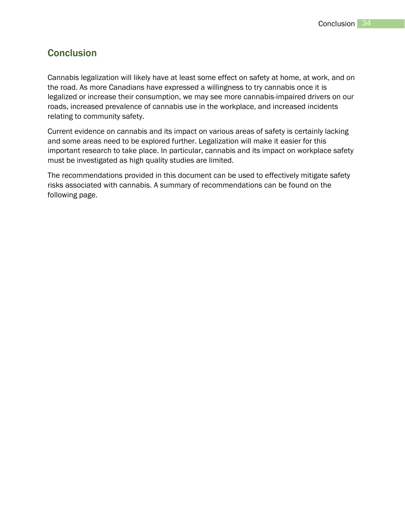## <span id="page-34-0"></span>**Conclusion**

Cannabis legalization will likely have at least some effect on safety at home, at work, and on the road. As more Canadians have expressed a willingness to try cannabis once it is legalized or increase their consumption, we may see more cannabis-impaired drivers on our roads, increased prevalence of cannabis use in the workplace, and increased incidents relating to community safety.

Current evidence on cannabis and its impact on various areas of safety is certainly lacking and some areas need to be explored further. Legalization will make it easier for this important research to take place. In particular, cannabis and its impact on workplace safety must be investigated as high quality studies are limited.

The recommendations provided in this document can be used to effectively mitigate safety risks associated with cannabis. A summary of recommendations can be found on the following page.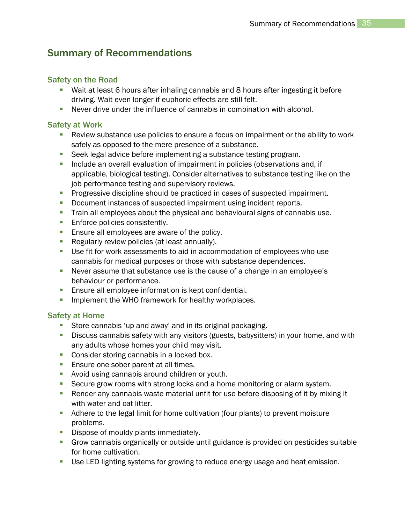## <span id="page-35-0"></span>Summary of Recommendations

### Safety on the Road

- Wait at least 6 hours after inhaling cannabis and 8 hours after ingesting it before driving. Wait even longer if euphoric effects are still felt.
- Never drive under the influence of cannabis in combination with alcohol.

#### Safety at Work

- Review substance use policies to ensure a focus on impairment or the ability to work safely as opposed to the mere presence of a substance.
- Seek legal advice before implementing a substance testing program.
- Include an overall evaluation of impairment in policies (observations and, if applicable, biological testing). Consider alternatives to substance testing like on the job performance testing and supervisory reviews.
- **Progressive discipline should be practiced in cases of suspected impairment.**
- **-** Document instances of suspected impairment using incident reports.
- **Train all employees about the physical and behavioural signs of cannabis use.**
- **Enforce policies consistently.**
- **Ensure all employees are aware of the policy.**
- **Regularly review policies (at least annually).**
- Use fit for work assessments to aid in accommodation of employees who use cannabis for medical purposes or those with substance dependences.
- Never assume that substance use is the cause of a change in an employee's behaviour or performance.
- **Ensure all employee information is kept confidential.**
- **IMPLEMENT ING OF THE WHO framework for healthy workplaces.**

#### Safety at Home

- **Store cannabis 'up and away' and in its original packaging.**
- **Discuss cannabis safety with any visitors (guests, babysitters) in your home, and with** any adults whose homes your child may visit.
- **Consider storing cannabis in a locked box.**
- **Ensure one sober parent at all times.**
- **Avoid using cannabis around children or youth.**
- **Secure grow rooms with strong locks and a home monitoring or alarm system.**
- Render any cannabis waste material unfit for use before disposing of it by mixing it with water and cat litter.
- Adhere to the legal limit for home cultivation (four plants) to prevent moisture problems.
- **Dispose of mouldy plants immediately.**
- Grow cannabis organically or outside until guidance is provided on pesticides suitable for home cultivation.
- Use LED lighting systems for growing to reduce energy usage and heat emission.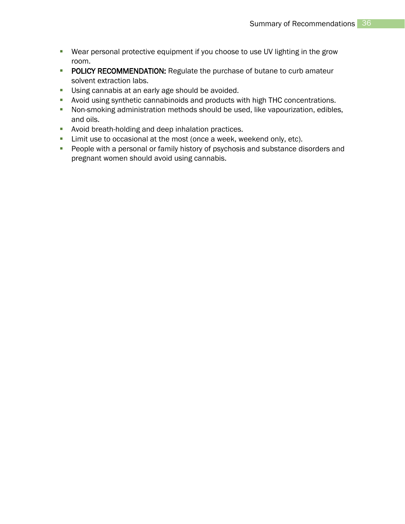- Wear personal protective equipment if you choose to use UV lighting in the grow room.
- **POLICY RECOMMENDATION:** Regulate the purchase of butane to curb amateur solvent extraction labs.
- **Using cannabis at an early age should be avoided.**
- Avoid using synthetic cannabinoids and products with high THC concentrations.
- Non-smoking administration methods should be used, like vapourization, edibles, and oils.
- **Avoid breath-holding and deep inhalation practices.**
- **EXECT** Limit use to occasional at the most (once a week, weekend only, etc).
- **People with a personal or family history of psychosis and substance disorders and** pregnant women should avoid using cannabis.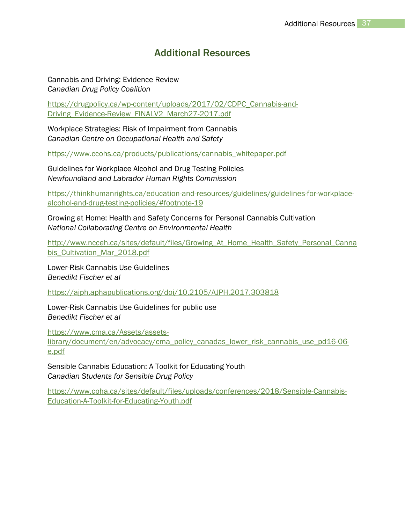## Additional Resources

<span id="page-37-0"></span>Cannabis and Driving: Evidence Review *Canadian Drug Policy Coalition*

[https://drugpolicy.ca/wp-content/uploads/2017/02/CDPC\\_Cannabis-and-](https://drugpolicy.ca/wp-content/uploads/2017/02/CDPC_Cannabis-and-Driving_Evidence-Review_FINALV2_March27-2017.pdf)[Driving\\_Evidence-Review\\_FINALV2\\_March27-2017.pdf](https://drugpolicy.ca/wp-content/uploads/2017/02/CDPC_Cannabis-and-Driving_Evidence-Review_FINALV2_March27-2017.pdf)

Workplace Strategies: Risk of Impairment from Cannabis *Canadian Centre on Occupational Health and Safety*

[https://www.ccohs.ca/products/publications/cannabis\\_whitepaper.pdf](https://www.ccohs.ca/products/publications/cannabis_whitepaper.pdf)

Guidelines for Workplace Alcohol and Drug Testing Policies *Newfoundland and Labrador Human Rights Commission* 

[https://thinkhumanrights.ca/education-and-resources/guidelines/guidelines-for-workplace](https://thinkhumanrights.ca/education-and-resources/guidelines/guidelines-for-workplace-alcohol-and-drug-testing-policies/#footnote-19)[alcohol-and-drug-testing-policies/#footnote-19](https://thinkhumanrights.ca/education-and-resources/guidelines/guidelines-for-workplace-alcohol-and-drug-testing-policies/#footnote-19)

Growing at Home: Health and Safety Concerns for Personal Cannabis Cultivation *National Collaborating Centre on Environmental Health*

[http://www.ncceh.ca/sites/default/files/Growing\\_At\\_Home\\_Health\\_Safety\\_Personal\\_Canna](http://www.ncceh.ca/sites/default/files/Growing_At_Home_Health_Safety_Personal_Cannabis_Cultivation_Mar_2018.pdf) bis Cultivation Mar 2018.pdf

Lower-Risk Cannabis Use Guidelines *Benedikt Fischer et al*

<https://ajph.aphapublications.org/doi/10.2105/AJPH.2017.303818>

Lower-Risk Cannabis Use Guidelines for public use *Benedikt Fischer et al*

[https://www.cma.ca/Assets/assets-](https://www.cma.ca/Assets/assets-library/document/en/advocacy/cma_policy_canadas_lower_risk_cannabis_use_pd16-06-e.pdf)

[library/document/en/advocacy/cma\\_policy\\_canadas\\_lower\\_risk\\_cannabis\\_use\\_pd16-06](https://www.cma.ca/Assets/assets-library/document/en/advocacy/cma_policy_canadas_lower_risk_cannabis_use_pd16-06-e.pdf) [e.pdf](https://www.cma.ca/Assets/assets-library/document/en/advocacy/cma_policy_canadas_lower_risk_cannabis_use_pd16-06-e.pdf)

Sensible Cannabis Education: A Toolkit for Educating Youth *Canadian Students for Sensible Drug Policy*

[https://www.cpha.ca/sites/default/files/uploads/conferences/2018/Sensible-Cannabis-](https://www.cpha.ca/sites/default/files/uploads/conferences/2018/Sensible-Cannabis-Education-A-Toolkit-for-Educating-Youth.pdf)[Education-A-Toolkit-for-Educating-Youth.pdf](https://www.cpha.ca/sites/default/files/uploads/conferences/2018/Sensible-Cannabis-Education-A-Toolkit-for-Educating-Youth.pdf)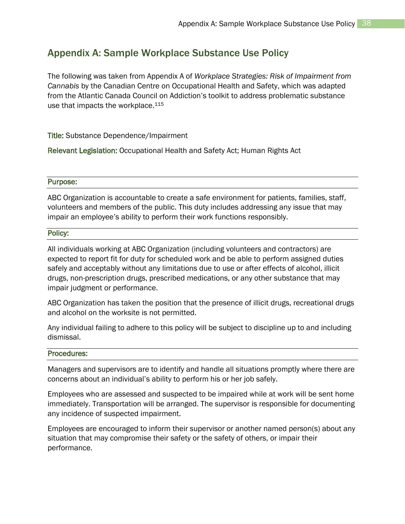## <span id="page-38-0"></span>Appendix A: Sample Workplace Substance Use Policy

The following was taken from Appendix A of *Workplace Strategies: Risk of Impairment from Cannabis* by the Canadian Centre on Occupational Health and Safety, which was adapted from the Atlantic Canada Council on Addiction's toolkit to address problematic substance use that impacts the workplace.<sup>115</sup>

Title: Substance Dependence/Impairment

Relevant Legislation: Occupational Health and Safety Act; Human Rights Act

#### Purpose:

ABC Organization is accountable to create a safe environment for patients, families, staff, volunteers and members of the public. This duty includes addressing any issue that may impair an employee's ability to perform their work functions responsibly.

#### Policy:

All individuals working at ABC Organization (including volunteers and contractors) are expected to report fit for duty for scheduled work and be able to perform assigned duties safely and acceptably without any limitations due to use or after effects of alcohol, illicit drugs, non-prescription drugs, prescribed medications, or any other substance that may impair judgment or performance.

ABC Organization has taken the position that the presence of illicit drugs, recreational drugs and alcohol on the worksite is not permitted.

Any individual failing to adhere to this policy will be subject to discipline up to and including dismissal.

#### Procedures:

Managers and supervisors are to identify and handle all situations promptly where there are concerns about an individual's ability to perform his or her job safely.

Employees who are assessed and suspected to be impaired while at work will be sent home immediately. Transportation will be arranged. The supervisor is responsible for documenting any incidence of suspected impairment.

Employees are encouraged to inform their supervisor or another named person(s) about any situation that may compromise their safety or the safety of others, or impair their performance.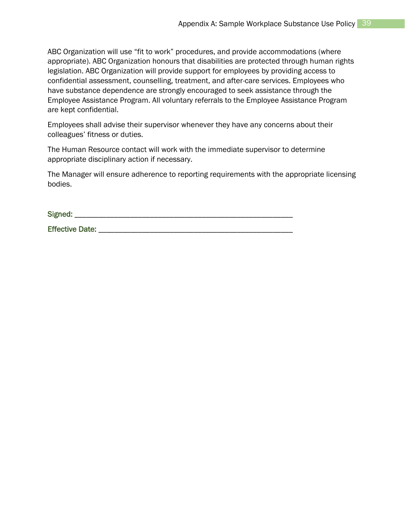ABC Organization will use "fit to work" procedures, and provide accommodations (where appropriate). ABC Organization honours that disabilities are protected through human rights legislation. ABC Organization will provide support for employees by providing access to confidential assessment, counselling, treatment, and after-care services. Employees who have substance dependence are strongly encouraged to seek assistance through the Employee Assistance Program. All voluntary referrals to the Employee Assistance Program are kept confidential.

Employees shall advise their supervisor whenever they have any concerns about their colleagues' fitness or duties.

The Human Resource contact will work with the immediate supervisor to determine appropriate disciplinary action if necessary.

The Manager will ensure adherence to reporting requirements with the appropriate licensing bodies.

Signed: \_\_\_\_\_\_\_\_\_\_\_\_\_\_\_\_\_\_\_\_\_\_\_\_\_\_\_\_\_\_\_\_\_\_\_\_\_\_\_\_\_\_\_\_\_\_\_\_\_\_\_\_\_\_\_

Effective Date: \_\_\_\_\_\_\_\_\_\_\_\_\_\_\_\_\_\_\_\_\_\_\_\_\_\_\_\_\_\_\_\_\_\_\_\_\_\_\_\_\_\_\_\_\_\_\_\_\_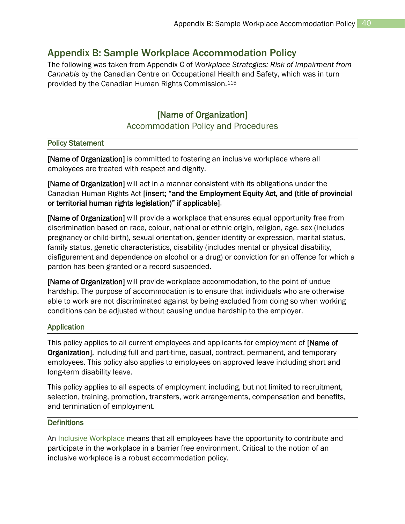## <span id="page-40-0"></span>Appendix B: Sample Workplace Accommodation Policy

The following was taken from Appendix C of *Workplace Strategies: Risk of Impairment from Cannabis* by the Canadian Centre on Occupational Health and Safety, which was in turn provided by the Canadian Human Rights Commission.<sup>115</sup>

## [Name of Organization]

#### Accommodation Policy and Procedures

#### Policy Statement

[Name of Organization] is committed to fostering an inclusive workplace where all employees are treated with respect and dignity.

[Name of Organization] will act in a manner consistent with its obligations under the Canadian Human Rights Act [insert; "and the Employment Equity Act, and (title of provincial or territorial human rights legislation)" if applicable].

[Name of Organization] will provide a workplace that ensures equal opportunity free from discrimination based on race, colour, national or ethnic origin, religion, age, sex (includes pregnancy or child-birth), sexual orientation, gender identity or expression, marital status, family status, genetic characteristics, disability (includes mental or physical disability, disfigurement and dependence on alcohol or a drug) or conviction for an offence for which a pardon has been granted or a record suspended.

[Name of Organization] will provide workplace accommodation, to the point of undue hardship. The purpose of accommodation is to ensure that individuals who are otherwise able to work are not discriminated against by being excluded from doing so when working conditions can be adjusted without causing undue hardship to the employer.

#### Application

This policy applies to all current employees and applicants for employment of **[Name of** Organization], including full and part-time, casual, contract, permanent, and temporary employees. This policy also applies to employees on approved leave including short and long-term disability leave.

This policy applies to all aspects of employment including, but not limited to recruitment, selection, training, promotion, transfers, work arrangements, compensation and benefits, and termination of employment.

#### **Definitions**

An Inclusive Workplace means that all employees have the opportunity to contribute and participate in the workplace in a barrier free environment. Critical to the notion of an inclusive workplace is a robust accommodation policy.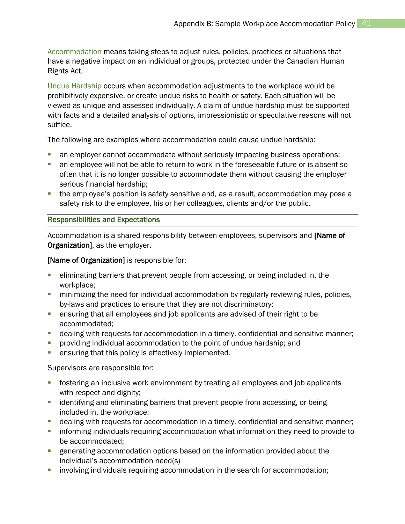Accommodation means taking steps to adjust rules, policies, practices or situations that have a negative impact on an individual or groups, protected under the Canadian Human Rights Act.

Undue Hardship occurs when accommodation adjustments to the workplace would be prohibitively expensive, or create undue risks to health or safety. Each situation will be viewed as unique and assessed individually. A claim of undue hardship must be supported with facts and a detailed analysis of options, impressionistic or speculative reasons will not suffice.

The following are examples where accommodation could cause undue hardship:

- an employer cannot accommodate without seriously impacting business operations;
- an employee will not be able to return to work in the foreseeable future or is absent so often that it is no longer possible to accommodate them without causing the employer serious financial hardship;
- the employee's position is safety sensitive and, as a result, accommodation may pose a safety risk to the employee, his or her colleagues, clients and/or the public.

#### Responsibilities and Expectations

Accommodation is a shared responsibility between employees, supervisors and [Name of Organization], as the employer.

#### [Name of Organization] is responsible for:

- **EXED** eliminating barriers that prevent people from accessing, or being included in, the workplace;
- **F** minimizing the need for individual accommodation by regularly reviewing rules, policies, by-laws and practices to ensure that they are not discriminatory;
- ensuring that all employees and job applicants are advised of their right to be accommodated;
- dealing with requests for accommodation in a timely, confidential and sensitive manner;
- **Peroviding individual accommodation to the point of undue hardship; and**
- **EXECTE:** ensuring that this policy is effectively implemented.

Supervisors are responsible for:

- fostering an inclusive work environment by treating all employees and job applicants with respect and dignity;
- **EXT** identifying and eliminating barriers that prevent people from accessing, or being included in, the workplace;
- dealing with requests for accommodation in a timely, confidential and sensitive manner;
- informing individuals requiring accommodation what information they need to provide to be accommodated;
- **EXECTE EXECTER EXECTER FIGHTED EXECTER** generation provided about the individual's accommodation need(s)
- **·** involving individuals requiring accommodation in the search for accommodation;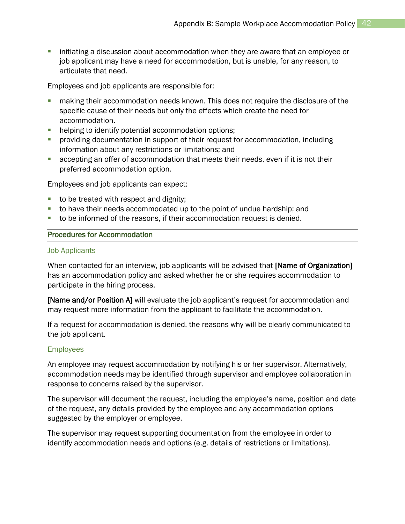**EXTED initiating a discussion about accommodation when they are aware that an employee or** job applicant may have a need for accommodation, but is unable, for any reason, to articulate that need.

Employees and job applicants are responsible for:

- making their accommodation needs known. This does not require the disclosure of the specific cause of their needs but only the effects which create the need for accommodation.
- **•** helping to identify potential accommodation options;
- **•** providing documentation in support of their request for accommodation, including information about any restrictions or limitations; and
- accepting an offer of accommodation that meets their needs, even if it is not their preferred accommodation option.

Employees and job applicants can expect:

- to be treated with respect and dignity;
- to have their needs accommodated up to the point of undue hardship; and
- to be informed of the reasons, if their accommodation request is denied.

#### Procedures for Accommodation

#### Job Applicants

When contacted for an interview, job applicants will be advised that [Name of Organization] has an accommodation policy and asked whether he or she requires accommodation to participate in the hiring process.

[Name and/or Position A] will evaluate the job applicant's request for accommodation and may request more information from the applicant to facilitate the accommodation.

If a request for accommodation is denied, the reasons why will be clearly communicated to the job applicant.

#### Employees

An employee may request accommodation by notifying his or her supervisor. Alternatively, accommodation needs may be identified through supervisor and employee collaboration in response to concerns raised by the supervisor.

The supervisor will document the request, including the employee's name, position and date of the request, any details provided by the employee and any accommodation options suggested by the employer or employee.

The supervisor may request supporting documentation from the employee in order to identify accommodation needs and options (e.g. details of restrictions or limitations).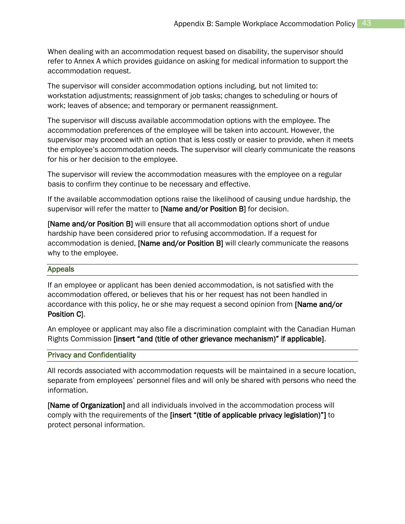When dealing with an accommodation request based on disability, the supervisor should refer to Annex A which provides guidance on asking for medical information to support the accommodation request.

The supervisor will consider accommodation options including, but not limited to: workstation adjustments; reassignment of job tasks; changes to scheduling or hours of work; leaves of absence; and temporary or permanent reassignment.

The supervisor will discuss available accommodation options with the employee. The accommodation preferences of the employee will be taken into account. However, the supervisor may proceed with an option that is less costly or easier to provide, when it meets the employee's accommodation needs. The supervisor will clearly communicate the reasons for his or her decision to the employee.

The supervisor will review the accommodation measures with the employee on a regular basis to confirm they continue to be necessary and effective.

If the available accommodation options raise the likelihood of causing undue hardship, the supervisor will refer the matter to [Name and/or Position B] for decision.

[Name and/or Position B] will ensure that all accommodation options short of undue hardship have been considered prior to refusing accommodation. If a request for accommodation is denied, [Name and/or Position B] will clearly communicate the reasons why to the employee.

#### Appeals

If an employee or applicant has been denied accommodation, is not satisfied with the accommodation offered, or believes that his or her request has not been handled in accordance with this policy, he or she may request a second opinion from [Name and/or Position C].

An employee or applicant may also file a discrimination complaint with the Canadian Human Rights Commission [insert "and (title of other grievance mechanism)" if applicable].

#### Privacy and Confidentiality

All records associated with accommodation requests will be maintained in a secure location, separate from employees' personnel files and will only be shared with persons who need the information.

[Name of Organization] and all individuals involved in the accommodation process will comply with the requirements of the [insert "(title of applicable privacy legislation)"] to protect personal information.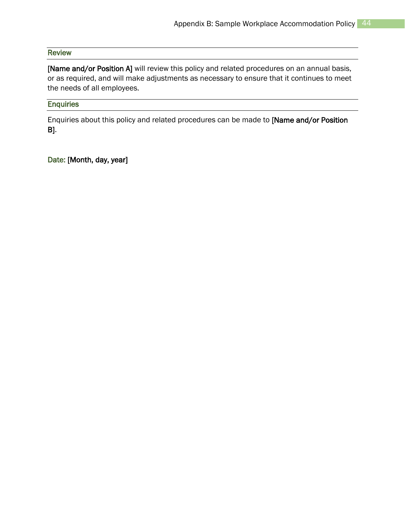#### Review

[Name and/or Position A] will review this policy and related procedures on an annual basis, or as required, and will make adjustments as necessary to ensure that it continues to meet the needs of all employees.

#### **Enquiries**

Enquiries about this policy and related procedures can be made to [Name and/or Position B].

Date: [Month, day, year]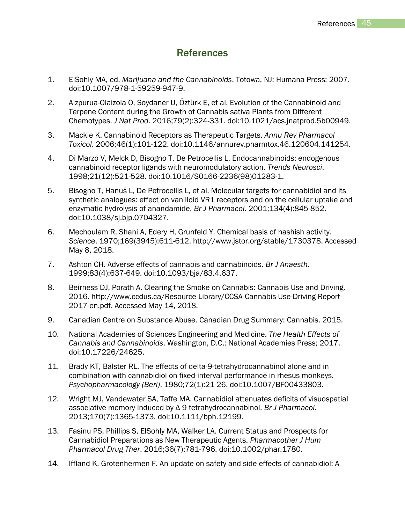## **References**

- <span id="page-45-0"></span>1. ElSohly MA, ed. *Marijuana and the Cannabinoids*. Totowa, NJ: Humana Press; 2007. doi:10.1007/978-1-59259-947-9.
- 2. Aizpurua-Olaizola O, Soydaner U, Öztürk E, et al. Evolution of the Cannabinoid and Terpene Content during the Growth of Cannabis sativa Plants from Different Chemotypes. *J Nat Prod*. 2016;79(2):324-331. doi:10.1021/acs.jnatprod.5b00949.
- 3. Mackie K. Cannabinoid Receptors as Therapeutic Targets. *Annu Rev Pharmacol Toxicol*. 2006;46(1):101-122. doi:10.1146/annurev.pharmtox.46.120604.141254.
- 4. Di Marzo V, Melck D, Bisogno T, De Petrocellis L. Endocannabinoids: endogenous cannabinoid receptor ligands with neuromodulatory action. *Trends Neurosci*. 1998;21(12):521-528. doi:10.1016/S0166-2236(98)01283-1.
- 5. Bisogno T, Hanuš L, De Petrocellis L, et al. Molecular targets for cannabidiol and its synthetic analogues: effect on vanilloid VR1 receptors and on the cellular uptake and enzymatic hydrolysis of anandamide. *Br J Pharmacol*. 2001;134(4):845-852. doi:10.1038/sj.bjp.0704327.
- 6. Mechoulam R, Shani A, Edery H, Grunfeld Y. Chemical basis of hashish activity. *Science*. 1970;169(3945):611-612. http://www.jstor.org/stable/1730378. Accessed May 8, 2018.
- 7. Ashton CH. Adverse effects of cannabis and cannabinoids. *Br J Anaesth*. 1999;83(4):637-649. doi:10.1093/bja/83.4.637.
- 8. Beirness DJ, Porath A. Clearing the Smoke on Cannabis: Cannabis Use and Driving. 2016. http://www.ccdus.ca/Resource Library/CCSA-Cannabis-Use-Driving-Report-2017-en.pdf. Accessed May 14, 2018.
- 9. Canadian Centre on Substance Abuse. Canadian Drug Summary: Cannabis. 2015.
- 10. National Academies of Sciences Engineering and Medicine. *The Health Effects of Cannabis and Cannabinoids*. Washington, D.C.: National Academies Press; 2017. doi:10.17226/24625.
- 11. Brady KT, Balster RL. The effects of delta-9-tetrahydrocannabinol alone and in combination with cannabidiol on fixed-interval performance in rhesus monkeys. *Psychopharmacology (Berl)*. 1980;72(1):21-26. doi:10.1007/BF00433803.
- 12. Wright MJ, Vandewater SA, Taffe MA. Cannabidiol attenuates deficits of visuospatial associative memory induced by Δ 9 tetrahydrocannabinol. *Br J Pharmacol*. 2013;170(7):1365-1373. doi:10.1111/bph.12199.
- 13. Fasinu PS, Phillips S, ElSohly MA, Walker LA. Current Status and Prospects for Cannabidiol Preparations as New Therapeutic Agents. *Pharmacother J Hum Pharmacol Drug Ther*. 2016;36(7):781-796. doi:10.1002/phar.1780.
- 14. Iffland K, Grotenhermen F. An update on safety and side effects of cannabidiol: A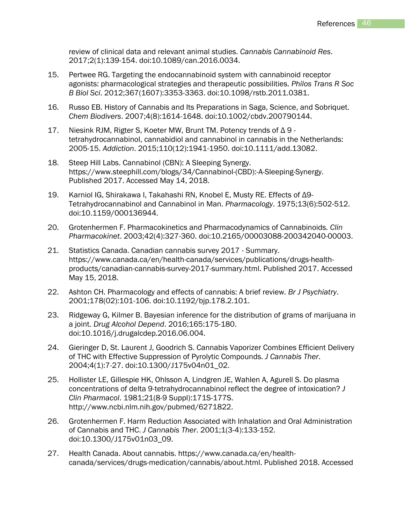review of clinical data and relevant animal studies. *Cannabis Cannabinoid Res*. 2017;2(1):139-154. doi:10.1089/can.2016.0034.

- 15. Pertwee RG. Targeting the endocannabinoid system with cannabinoid receptor agonists: pharmacological strategies and therapeutic possibilities. *Philos Trans R Soc B Biol Sci*. 2012;367(1607):3353-3363. doi:10.1098/rstb.2011.0381.
- 16. Russo EB. History of Cannabis and Its Preparations in Saga, Science, and Sobriquet. *Chem Biodivers*. 2007;4(8):1614-1648. doi:10.1002/cbdv.200790144.
- 17. Niesink RJM, Rigter S, Koeter MW, Brunt TM. Potency trends of Δ 9 tetrahydrocannabinol, cannabidiol and cannabinol in cannabis in the Netherlands: 2005-15. *Addiction*. 2015;110(12):1941-1950. doi:10.1111/add.13082.
- 18. Steep Hill Labs. Cannabinol (CBN): A Sleeping Synergy. https://www.steephill.com/blogs/34/Cannabinol-(CBD):-A-Sleeping-Synergy. Published 2017. Accessed May 14, 2018.
- 19. Karniol IG, Shirakawa I, Takahashi RN, Knobel E, Musty RE. Effects of Δ9- Tetrahydrocannabinol and Cannabinol in Man. *Pharmacology*. 1975;13(6):502-512. doi:10.1159/000136944.
- 20. Grotenhermen F. Pharmacokinetics and Pharmacodynamics of Cannabinoids. *Clin Pharmacokinet*. 2003;42(4):327-360. doi:10.2165/00003088-200342040-00003.
- 21. Statistics Canada. Canadian cannabis survey 2017 Summary. https://www.canada.ca/en/health-canada/services/publications/drugs-healthproducts/canadian-cannabis-survey-2017-summary.html. Published 2017. Accessed May 15, 2018.
- 22. Ashton CH. Pharmacology and effects of cannabis: A brief review. *Br J Psychiatry*. 2001;178(02):101-106. doi:10.1192/bjp.178.2.101.
- 23. Ridgeway G, Kilmer B. Bayesian inference for the distribution of grams of marijuana in a joint. *Drug Alcohol Depend*. 2016;165:175-180. doi:10.1016/j.drugalcdep.2016.06.004.
- 24. Gieringer D, St. Laurent J, Goodrich S. Cannabis Vaporizer Combines Efficient Delivery of THC with Effective Suppression of Pyrolytic Compounds. *J Cannabis Ther*. 2004;4(1):7-27. doi:10.1300/J175v04n01\_02.
- 25. Hollister LE, Gillespie HK, Ohlsson A, Lindgren JE, Wahlen A, Agurell S. Do plasma concentrations of delta 9-tetrahydrocannabinol reflect the degree of intoxication? *J Clin Pharmacol*. 1981;21(8-9 Suppl):171S-177S. http://www.ncbi.nlm.nih.gov/pubmed/6271822.
- 26. Grotenhermen F. Harm Reduction Associated with Inhalation and Oral Administration of Cannabis and THC. *J Cannabis Ther*. 2001;1(3-4):133-152. doi:10.1300/J175v01n03\_09.
- 27. Health Canada. About cannabis. https://www.canada.ca/en/healthcanada/services/drugs-medication/cannabis/about.html. Published 2018. Accessed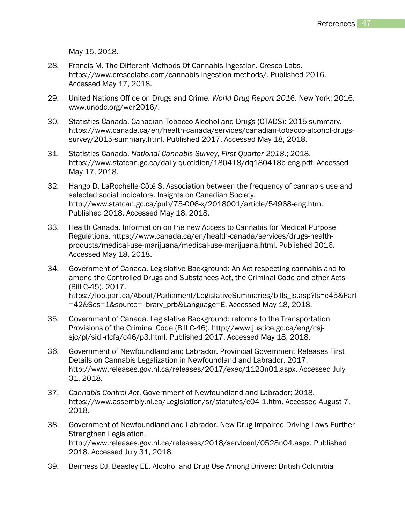May 15, 2018.

- 28. Francis M. The Different Methods Of Cannabis Ingestion. Cresco Labs. https://www.crescolabs.com/cannabis-ingestion-methods/. Published 2016. Accessed May 17, 2018.
- 29. United Nations Office on Drugs and Crime. *World Drug Report 2016*. New York; 2016. www.unodc.org/wdr2016/.
- 30. Statistics Canada. Canadian Tobacco Alcohol and Drugs (CTADS): 2015 summary. https://www.canada.ca/en/health-canada/services/canadian-tobacco-alcohol-drugssurvey/2015-summary.html. Published 2017. Accessed May 18, 2018.
- 31. Statistics Canada. *National Cannabis Survey, First Quarter 2018*.; 2018. https://www.statcan.gc.ca/daily-quotidien/180418/dq180418b-eng.pdf. Accessed May 17, 2018.
- 32. Hango D, LaRochelle-Côté S. Association between the frequency of cannabis use and selected social indicators. Insights on Canadian Society. http://www.statcan.gc.ca/pub/75-006-x/2018001/article/54968-eng.htm. Published 2018. Accessed May 18, 2018.
- 33. Health Canada. Information on the new Access to Cannabis for Medical Purpose Regulations. https://www.canada.ca/en/health-canada/services/drugs-healthproducts/medical-use-marijuana/medical-use-marijuana.html. Published 2016. Accessed May 18, 2018.
- 34. Government of Canada. Legislative Background: An Act respecting cannabis and to amend the Controlled Drugs and Substances Act, the Criminal Code and other Acts (Bill C-45). 2017. https://lop.parl.ca/About/Parliament/LegislativeSummaries/bills\_ls.asp?ls=c45&Parl =42&Ses=1&source=library\_prb&Language=E. Accessed May 18, 2018.
- 35. Government of Canada. Legislative Background: reforms to the Transportation Provisions of the Criminal Code (Bill C-46). http://www.justice.gc.ca/eng/csjsjc/pl/sidl-rlcfa/c46/p3.html. Published 2017. Accessed May 18, 2018.
- 36. Government of Newfoundland and Labrador. Provincial Government Releases First Details on Cannabis Legalization in Newfoundland and Labrador. 2017. http://www.releases.gov.nl.ca/releases/2017/exec/1123n01.aspx. Accessed July 31, 2018.
- 37. *Cannabis Control Act*. Government of Newfoundland and Labrador; 2018. https://www.assembly.nl.ca/Legislation/sr/statutes/c04-1.htm. Accessed August 7, 2018.
- 38. Government of Newfoundland and Labrador. New Drug Impaired Driving Laws Further Strengthen Legislation. http://www.releases.gov.nl.ca/releases/2018/servicenl/0528n04.aspx. Published 2018. Accessed July 31, 2018.
- 39. Beirness DJ, Beasley EE. Alcohol and Drug Use Among Drivers: British Columbia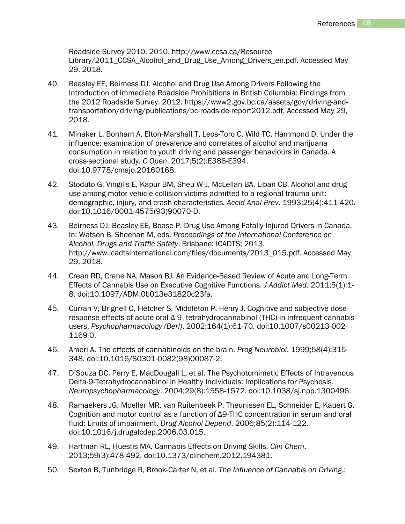Roadside Survey 2010. 2010. http://www.ccsa.ca/Resource Library/2011 CCSA Alcohol and Drug Use Among Drivers en.pdf. Accessed May 29, 2018.

- 40. Beasley EE, Beirness DJ. Alcohol and Drug Use Among Drivers Following the Introduction of Immediate Roadside Prohibitions in British Columbia: Findings from the 2012 Roadside Survey. 2012. https://www2.gov.bc.ca/assets/gov/driving-andtransportation/driving/publications/bc-roadside-report2012.pdf. Accessed May 29, 2018.
- 41. Minaker L, Bonham A, Elton-Marshall T, Leos-Toro C, Wild TC, Hammond D. Under the influence: examination of prevalence and correlates of alcohol and marijuana consumption in relation to youth driving and passenger behaviours in Canada. A cross-sectional study. *C Open*. 2017;5(2):E386-E394. doi:10.9778/cmajo.20160168.
- 42. Stoduto G, Vingilis E, Kapur BM, Sheu W-J, McLellan BA, Liban CB. Alcohol and drug use among motor vehicle collision victims admitted to a regional trauma unit: demographic, injury, and crash characteristics. *Accid Anal Prev*. 1993;25(4):411-420. doi:10.1016/0001-4575(93)90070-D.
- 43. Beirness DJ, Beasley EE, Boase P. Drug Use Among Fatally Injured Drivers in Canada. In: Watson B, Sheehan M, eds. *Proceedings of the International Conference on Alcohol, Drugs and Traffic Safety*. Brisbane: ICADTS; 2013. http://www.icadtsinternational.com/files/documents/2013\_015.pdf. Accessed May 29, 2018.
- 44. Crean RD, Crane NA, Mason BJ. An Evidence-Based Review of Acute and Long-Term Effects of Cannabis Use on Executive Cognitive Functions. *J Addict Med*. 2011;5(1):1- 8. doi:10.1097/ADM.0b013e31820c23fa.
- 45. Curran V, Brignell C, Fletcher S, Middleton P, Henry J. Cognitive and subjective doseresponse effects of acute oral Δ 9 -tetrahydrocannabinol (THC) in infrequent cannabis users. *Psychopharmacology (Berl)*. 2002;164(1):61-70. doi:10.1007/s00213-002- 1169-0.
- 46. Ameri A. The effects of cannabinoids on the brain. *Prog Neurobiol*. 1999;58(4):315- 348. doi:10.1016/S0301-0082(98)00087-2.
- 47. D'Souza DC, Perry E, MacDougall L, et al. The Psychotomimetic Effects of Intravenous Delta-9-Tetrahydrocannabinol in Healthy Individuals: Implications for Psychosis. *Neuropsychopharmacology*. 2004;29(8):1558-1572. doi:10.1038/sj.npp.1300496.
- 48. Ramaekers JG, Moeller MR, van Ruitenbeek P, Theunissen EL, Schneider E, Kauert G. Cognition and motor control as a function of Δ9-THC concentration in serum and oral fluid: Limits of impairment. *Drug Alcohol Depend*. 2006;85(2):114-122. doi:10.1016/j.drugalcdep.2006.03.015.
- 49. Hartman RL, Huestis MA. Cannabis Effects on Driving Skills. *Clin Chem*. 2013;59(3):478-492. doi:10.1373/clinchem.2012.194381.
- 50. Sexton B, Tunbridge R, Brook-Carter N, et al. *The Influence of Cannabis on Driving*.;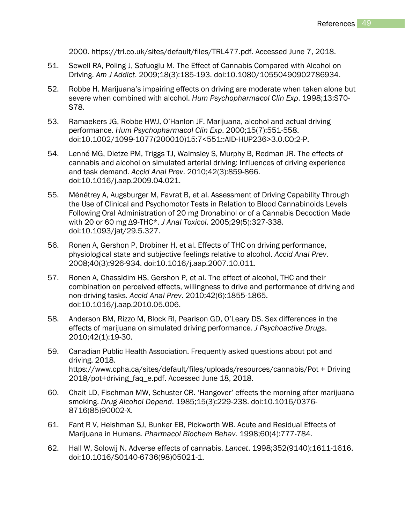2000. https://trl.co.uk/sites/default/files/TRL477.pdf. Accessed June 7, 2018.

- 51. Sewell RA, Poling J, Sofuoglu M. The Effect of Cannabis Compared with Alcohol on Driving. *Am J Addict*. 2009;18(3):185-193. doi:10.1080/10550490902786934.
- 52. Robbe H. Marijuana's impairing effects on driving are moderate when taken alone but severe when combined with alcohol. *Hum Psychopharmacol Clin Exp*. 1998;13:S70- S78.
- 53. Ramaekers JG, Robbe HWJ, O'Hanlon JF. Marijuana, alcohol and actual driving performance. *Hum Psychopharmacol Clin Exp*. 2000;15(7):551-558. doi:10.1002/1099-1077(200010)15:7<551::AID-HUP236>3.0.CO;2-P.
- 54. Lenné MG, Dietze PM, Triggs TJ, Walmsley S, Murphy B, Redman JR. The effects of cannabis and alcohol on simulated arterial driving: Influences of driving experience and task demand. *Accid Anal Prev*. 2010;42(3):859-866. doi:10.1016/j.aap.2009.04.021.
- 55. Ménétrey A, Augsburger M, Favrat B, et al. Assessment of Driving Capability Through the Use of Clinical and Psychomotor Tests in Relation to Blood Cannabinoids Levels Following Oral Administration of 20 mg Dronabinol or of a Cannabis Decoction Made with 20 or 60 mg Δ9-THC\*. *J Anal Toxicol*. 2005;29(5):327-338. doi:10.1093/jat/29.5.327.
- 56. Ronen A, Gershon P, Drobiner H, et al. Effects of THC on driving performance, physiological state and subjective feelings relative to alcohol. *Accid Anal Prev*. 2008;40(3):926-934. doi:10.1016/j.aap.2007.10.011.
- 57. Ronen A, Chassidim HS, Gershon P, et al. The effect of alcohol, THC and their combination on perceived effects, willingness to drive and performance of driving and non-driving tasks. *Accid Anal Prev*. 2010;42(6):1855-1865. doi:10.1016/j.aap.2010.05.006.
- 58. Anderson BM, Rizzo M, Block RI, Pearlson GD, O'Leary DS. Sex differences in the effects of marijuana on simulated driving performance. *J Psychoactive Drugs*. 2010;42(1):19-30.
- 59. Canadian Public Health Association. Frequently asked questions about pot and driving. 2018. https://www.cpha.ca/sites/default/files/uploads/resources/cannabis/Pot + Driving 2018/pot+driving\_faq\_e.pdf. Accessed June 18, 2018.
- 60. Chait LD, Fischman MW, Schuster CR. 'Hangover' effects the morning after marijuana smoking. *Drug Alcohol Depend*. 1985;15(3):229-238. doi:10.1016/0376- 8716(85)90002-X.
- 61. Fant R V, Heishman SJ, Bunker EB, Pickworth WB. Acute and Residual Effects of Marijuana in Humans. *Pharmacol Biochem Behav*. 1998;60(4):777-784.
- 62. Hall W, Solowij N. Adverse effects of cannabis. *Lancet*. 1998;352(9140):1611-1616. doi:10.1016/S0140-6736(98)05021-1.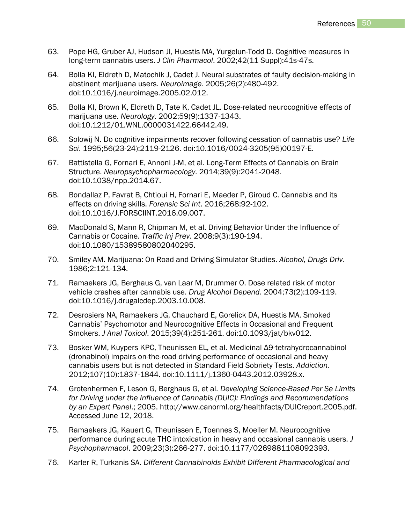- 63. Pope HG, Gruber AJ, Hudson JI, Huestis MA, Yurgelun-Todd D. Cognitive measures in long-term cannabis users. *J Clin Pharmacol*. 2002;42(11 Suppl):41s-47s.
- 64. Bolla KI, Eldreth D, Matochik J, Cadet J. Neural substrates of faulty decision-making in abstinent marijuana users. *Neuroimage*. 2005;26(2):480-492. doi:10.1016/j.neuroimage.2005.02.012.
- 65. Bolla KI, Brown K, Eldreth D, Tate K, Cadet JL. Dose-related neurocognitive effects of marijuana use. *Neurology*. 2002;59(9):1337-1343. doi:10.1212/01.WNL.0000031422.66442.49.
- 66. Solowij N. Do cognitive impairments recover following cessation of cannabis use? *Life Sci*. 1995;56(23-24):2119-2126. doi:10.1016/0024-3205(95)00197-E.
- 67. Battistella G, Fornari E, Annoni J-M, et al. Long-Term Effects of Cannabis on Brain Structure. *Neuropsychopharmacology*. 2014;39(9):2041-2048. doi:10.1038/npp.2014.67.
- 68. Bondallaz P, Favrat B, Chtioui H, Fornari E, Maeder P, Giroud C. Cannabis and its effects on driving skills. *Forensic Sci Int*. 2016;268:92-102. doi:10.1016/J.FORSCIINT.2016.09.007.
- 69. MacDonald S, Mann R, Chipman M, et al. Driving Behavior Under the Influence of Cannabis or Cocaine. *Traffic Inj Prev*. 2008;9(3):190-194. doi:10.1080/15389580802040295.
- 70. Smiley AM. Marijuana: On Road and Driving Simulator Studies. *Alcohol, Drugs Driv*. 1986;2:121-134.
- 71. Ramaekers JG, Berghaus G, van Laar M, Drummer O. Dose related risk of motor vehicle crashes after cannabis use. *Drug Alcohol Depend*. 2004;73(2):109-119. doi:10.1016/j.drugalcdep.2003.10.008.
- 72. Desrosiers NA, Ramaekers JG, Chauchard E, Gorelick DA, Huestis MA. Smoked Cannabis' Psychomotor and Neurocognitive Effects in Occasional and Frequent Smokers. *J Anal Toxicol*. 2015;39(4):251-261. doi:10.1093/jat/bkv012.
- 73. Bosker WM, Kuypers KPC, Theunissen EL, et al. Medicinal Δ9-tetrahydrocannabinol (dronabinol) impairs on-the-road driving performance of occasional and heavy cannabis users but is not detected in Standard Field Sobriety Tests. *Addiction*. 2012;107(10):1837-1844. doi:10.1111/j.1360-0443.2012.03928.x.
- 74. Grotenhermen F, Leson G, Berghaus G, et al. *Developing Science-Based Per Se Limits for Driving under the Influence of Cannabis (DUIC): Findings and Recommendations by an Expert Panel*.; 2005. http://www.canorml.org/healthfacts/DUICreport.2005.pdf. Accessed June 12, 2018.
- 75. Ramaekers JG, Kauert G, Theunissen E, Toennes S, Moeller M. Neurocognitive performance during acute THC intoxication in heavy and occasional cannabis users. *J Psychopharmacol*. 2009;23(3):266-277. doi:10.1177/0269881108092393.
- 76. Karler R, Turkanis SA. *Different Cannabinoids Exhibit Different Pharmacological and*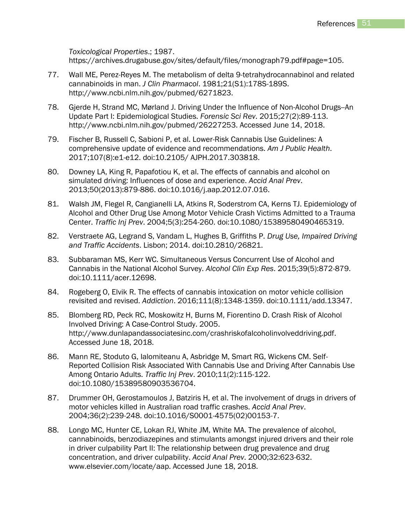*Toxicological Properties*.; 1987. https://archives.drugabuse.gov/sites/default/files/monograph79.pdf#page=105.

- 77. Wall ME, Perez-Reyes M. The metabolism of delta 9-tetrahydrocannabinol and related cannabinoids in man. *J Clin Pharmacol*. 1981;21(S1):178S-189S. http://www.ncbi.nlm.nih.gov/pubmed/6271823.
- 78. Gjerde H, Strand MC, Mørland J. Driving Under the Influence of Non-Alcohol Drugs--An Update Part I: Epidemiological Studies. *Forensic Sci Rev*. 2015;27(2):89-113. http://www.ncbi.nlm.nih.gov/pubmed/26227253. Accessed June 14, 2018.
- 79. Fischer B, Russell C, Sabioni P, et al. Lower-Risk Cannabis Use Guidelines: A comprehensive update of evidence and recommendations. *Am J Public Health*. 2017;107(8):e1-e12. doi:10.2105/ AJPH.2017.303818.
- 80. Downey LA, King R, Papafotiou K, et al. The effects of cannabis and alcohol on simulated driving: Influences of dose and experience. *Accid Anal Prev*. 2013;50(2013):879-886. doi:10.1016/j.aap.2012.07.016.
- 81. Walsh JM, Flegel R, Cangianelli LA, Atkins R, Soderstrom CA, Kerns TJ. Epidemiology of Alcohol and Other Drug Use Among Motor Vehicle Crash Victims Admitted to a Trauma Center. *Traffic Inj Prev*. 2004;5(3):254-260. doi:10.1080/15389580490465319.
- 82. Verstraete AG, Legrand S, Vandam L, Hughes B, Griffiths P. *Drug Use, Impaired Driving and Traffic Accidents*. Lisbon; 2014. doi:10.2810/26821.
- 83. Subbaraman MS, Kerr WC. Simultaneous Versus Concurrent Use of Alcohol and Cannabis in the National Alcohol Survey. *Alcohol Clin Exp Res*. 2015;39(5):872-879. doi:10.1111/acer.12698.
- 84. Rogeberg O, Elvik R. The effects of cannabis intoxication on motor vehicle collision revisited and revised. *Addiction*. 2016;111(8):1348-1359. doi:10.1111/add.13347.
- 85. Blomberg RD, Peck RC, Moskowitz H, Burns M, Fiorentino D. Crash Risk of Alcohol Involved Driving: A Case-Control Study. 2005. http://www.dunlapandassociatesinc.com/crashriskofalcoholinvolveddriving.pdf. Accessed June 18, 2018.
- 86. Mann RE, Stoduto G, Ialomiteanu A, Asbridge M, Smart RG, Wickens CM. Self-Reported Collision Risk Associated With Cannabis Use and Driving After Cannabis Use Among Ontario Adults. *Traffic Inj Prev*. 2010;11(2):115-122. doi:10.1080/15389580903536704.
- 87. Drummer OH, Gerostamoulos J, Batziris H, et al. The involvement of drugs in drivers of motor vehicles killed in Australian road traffic crashes. *Accid Anal Prev*. 2004;36(2):239-248. doi:10.1016/S0001-4575(02)00153-7.
- 88. Longo MC, Hunter CE, Lokan RJ, White JM, White MA. The prevalence of alcohol, cannabinoids, benzodiazepines and stimulants amongst injured drivers and their role in driver culpability Part II: The relationship between drug prevalence and drug concentration, and driver culpability. *Accid Anal Prev*. 2000;32:623-632. www.elsevier.com/locate/aap. Accessed June 18, 2018.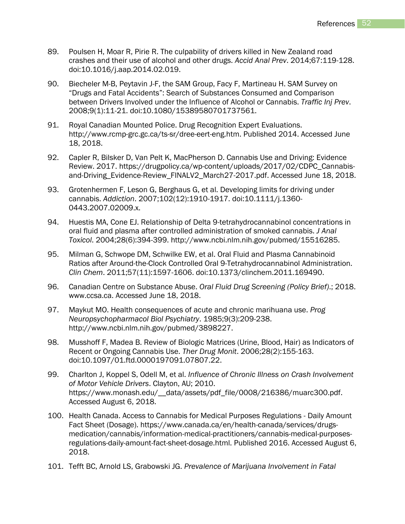- 89. Poulsen H, Moar R, Pirie R. The culpability of drivers killed in New Zealand road crashes and their use of alcohol and other drugs. *Accid Anal Prev*. 2014;67:119-128. doi:10.1016/j.aap.2014.02.019.
- 90. Biecheler M-B, Peytavin J-F, the SAM Group, Facy F, Martineau H. SAM Survey on "Drugs and Fatal Accidents": Search of Substances Consumed and Comparison between Drivers Involved under the Influence of Alcohol or Cannabis. *Traffic Inj Prev*. 2008;9(1):11-21. doi:10.1080/15389580701737561.
- 91. Royal Canadian Mounted Police. Drug Recognition Expert Evaluations. http://www.rcmp-grc.gc.ca/ts-sr/dree-eert-eng.htm. Published 2014. Accessed June 18, 2018.
- 92. Capler R, Bilsker D, Van Pelt K, MacPherson D. Cannabis Use and Driving: Evidence Review. 2017. https://drugpolicy.ca/wp-content/uploads/2017/02/CDPC\_Cannabisand-Driving Evidence-Review FINALV2 March27-2017.pdf. Accessed June 18, 2018.
- 93. Grotenhermen F, Leson G, Berghaus G, et al. Developing limits for driving under cannabis. *Addiction*. 2007;102(12):1910-1917. doi:10.1111/j.1360- 0443.2007.02009.x.
- 94. Huestis MA, Cone EJ. Relationship of Delta 9-tetrahydrocannabinol concentrations in oral fluid and plasma after controlled administration of smoked cannabis. *J Anal Toxicol*. 2004;28(6):394-399. http://www.ncbi.nlm.nih.gov/pubmed/15516285.
- 95. Milman G, Schwope DM, Schwilke EW, et al. Oral Fluid and Plasma Cannabinoid Ratios after Around-the-Clock Controlled Oral 9-Tetrahydrocannabinol Administration. *Clin Chem*. 2011;57(11):1597-1606. doi:10.1373/clinchem.2011.169490.
- 96. Canadian Centre on Substance Abuse. *Oral Fluid Drug Screening (Policy Brief)*.; 2018. www.ccsa.ca. Accessed June 18, 2018.
- 97. Maykut MO. Health consequences of acute and chronic marihuana use. *Prog Neuropsychopharmacol Biol Psychiatry*. 1985;9(3):209-238. http://www.ncbi.nlm.nih.gov/pubmed/3898227.
- 98. Musshoff F, Madea B. Review of Biologic Matrices (Urine, Blood, Hair) as Indicators of Recent or Ongoing Cannabis Use. *Ther Drug Monit*. 2006;28(2):155-163. doi:10.1097/01.ftd.0000197091.07807.22.
- 99. Charlton J, Koppel S, Odell M, et al. *Influence of Chronic Illness on Crash Involvement of Motor Vehicle Drivers*. Clayton, AU; 2010. https://www.monash.edu/\_\_data/assets/pdf\_file/0008/216386/muarc300.pdf. Accessed August 6, 2018.
- 100. Health Canada. Access to Cannabis for Medical Purposes Regulations Daily Amount Fact Sheet (Dosage). https://www.canada.ca/en/health-canada/services/drugsmedication/cannabis/information-medical-practitioners/cannabis-medical-purposesregulations-daily-amount-fact-sheet-dosage.html. Published 2016. Accessed August 6, 2018.
- 101. Tefft BC, Arnold LS, Grabowski JG. *Prevalence of Marijuana Involvement in Fatal*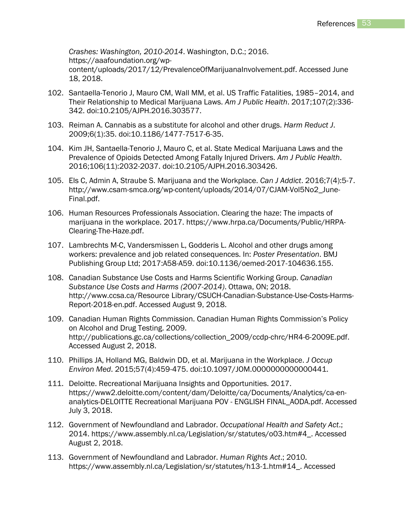*Crashes: Washington, 2010-2014*. Washington, D.C.; 2016. https://aaafoundation.org/wpcontent/uploads/2017/12/PrevalenceOfMarijuanaInvolvement.pdf. Accessed June 18, 2018.

- 102. Santaella-Tenorio J, Mauro CM, Wall MM, et al. US Traffic Fatalities, 1985–2014, and Their Relationship to Medical Marijuana Laws. *Am J Public Health*. 2017;107(2):336- 342. doi:10.2105/AJPH.2016.303577.
- 103. Reiman A. Cannabis as a substitute for alcohol and other drugs. *Harm Reduct J*. 2009;6(1):35. doi:10.1186/1477-7517-6-35.
- 104. Kim JH, Santaella-Tenorio J, Mauro C, et al. State Medical Marijuana Laws and the Prevalence of Opioids Detected Among Fatally Injured Drivers. *Am J Public Health*. 2016;106(11):2032-2037. doi:10.2105/AJPH.2016.303426.
- 105. Els C, Admin A, Straube S. Marijuana and the Workplace. *Can J Addict*. 2016;7(4):5-7. http://www.csam-smca.org/wp-content/uploads/2014/07/CJAM-Vol5No2\_June-Final.pdf.
- 106. Human Resources Professionals Association. Clearing the haze: The impacts of marijuana in the workplace. 2017. https://www.hrpa.ca/Documents/Public/HRPA-Clearing-The-Haze.pdf.
- 107. Lambrechts M-C, Vandersmissen L, Godderis L. Alcohol and other drugs among workers: prevalence and job related consequences. In: *Poster Presentation*. BMJ Publishing Group Ltd; 2017:A58-A59. doi:10.1136/oemed-2017-104636.155.
- 108. Canadian Substance Use Costs and Harms Scientific Working Group. *Canadian Substance Use Costs and Harms (2007-2014)*. Ottawa, ON; 2018. http://www.ccsa.ca/Resource Library/CSUCH-Canadian-Substance-Use-Costs-Harms-Report-2018-en.pdf. Accessed August 9, 2018.
- 109. Canadian Human Rights Commission. Canadian Human Rights Commission's Policy on Alcohol and Drug Testing. 2009. http://publications.gc.ca/collections/collection\_2009/ccdp-chrc/HR4-6-2009E.pdf. Accessed August 2, 2018.
- 110. Phillips JA, Holland MG, Baldwin DD, et al. Marijuana in the Workplace. *J Occup Environ Med*. 2015;57(4):459-475. doi:10.1097/JOM.0000000000000441.
- 111. Deloitte. Recreational Marijuana Insights and Opportunities. 2017. https://www2.deloitte.com/content/dam/Deloitte/ca/Documents/Analytics/ca-enanalytics-DELOITTE Recreational Marijuana POV - ENGLISH FINAL\_AODA.pdf. Accessed July 3, 2018.
- 112. Government of Newfoundland and Labrador. *Occupational Health and Safety Act*.; 2014. https://www.assembly.nl.ca/Legislation/sr/statutes/o03.htm#4\_. Accessed August 2, 2018.
- 113. Government of Newfoundland and Labrador. *Human Rights Act*.; 2010. https://www.assembly.nl.ca/Legislation/sr/statutes/h13-1.htm#14\_. Accessed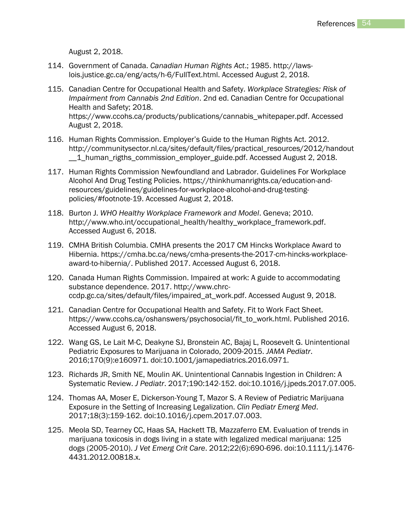August 2, 2018.

- 114. Government of Canada. *Canadian Human Rights Act*.; 1985. http://lawslois.justice.gc.ca/eng/acts/h-6/FullText.html. Accessed August 2, 2018.
- 115. Canadian Centre for Occupational Health and Safety. *Workplace Strategies: Risk of Impairment from Cannabis 2nd Edition*. 2nd ed. Canadian Centre for Occupational Health and Safety; 2018. https://www.ccohs.ca/products/publications/cannabis\_whitepaper.pdf. Accessed August 2, 2018.
- 116. Human Rights Commission. Employer's Guide to the Human Rights Act. 2012. http://communitysector.nl.ca/sites/default/files/practical\_resources/2012/handout \_\_1\_human\_rigths\_commission\_employer\_guide.pdf. Accessed August 2, 2018.
- 117. Human Rights Commission Newfoundland and Labrador. Guidelines For Workplace Alcohol And Drug Testing Policies. https://thinkhumanrights.ca/education-andresources/guidelines/guidelines-for-workplace-alcohol-and-drug-testingpolicies/#footnote-19. Accessed August 2, 2018.
- 118. Burton J. *WHO Healthy Workplace Framework and Model*. Geneva; 2010. http://www.who.int/occupational\_health/healthy\_workplace\_framework.pdf. Accessed August 6, 2018.
- 119. CMHA British Columbia. CMHA presents the 2017 CM Hincks Workplace Award to Hibernia. https://cmha.bc.ca/news/cmha-presents-the-2017-cm-hincks-workplaceaward-to-hibernia/. Published 2017. Accessed August 6, 2018.
- 120. Canada Human Rights Commission. Impaired at work: A guide to accommodating substance dependence. 2017. http://www.chrcccdp.gc.ca/sites/default/files/impaired\_at\_work.pdf. Accessed August 9, 2018.
- 121. Canadian Centre for Occupational Health and Safety. Fit to Work Fact Sheet. https://www.ccohs.ca/oshanswers/psychosocial/fit\_to\_work.html. Published 2016. Accessed August 6, 2018.
- 122. Wang GS, Le Lait M-C, Deakyne SJ, Bronstein AC, Bajaj L, Roosevelt G. Unintentional Pediatric Exposures to Marijuana in Colorado, 2009-2015. *JAMA Pediatr*. 2016;170(9):e160971. doi:10.1001/jamapediatrics.2016.0971.
- 123. Richards JR, Smith NE, Moulin AK. Unintentional Cannabis Ingestion in Children: A Systematic Review. *J Pediatr*. 2017;190:142-152. doi:10.1016/j.jpeds.2017.07.005.
- 124. Thomas AA, Moser E, Dickerson-Young T, Mazor S. A Review of Pediatric Marijuana Exposure in the Setting of Increasing Legalization. *Clin Pediatr Emerg Med*. 2017;18(3):159-162. doi:10.1016/j.cpem.2017.07.003.
- 125. Meola SD, Tearney CC, Haas SA, Hackett TB, Mazzaferro EM. Evaluation of trends in marijuana toxicosis in dogs living in a state with legalized medical marijuana: 125 dogs (2005-2010). *J Vet Emerg Crit Care*. 2012;22(6):690-696. doi:10.1111/j.1476- 4431.2012.00818.x.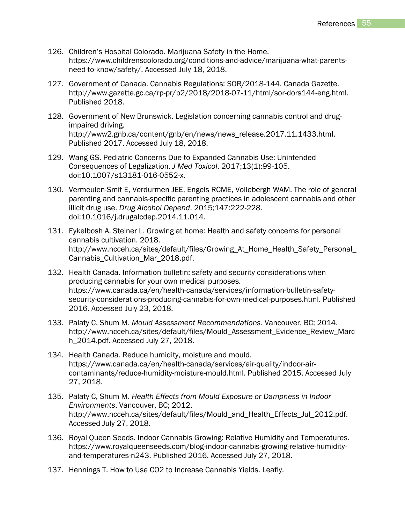- 126. Children's Hospital Colorado. Marijuana Safety in the Home. https://www.childrenscolorado.org/conditions-and-advice/marijuana-what-parentsneed-to-know/safety/. Accessed July 18, 2018.
- 127. Government of Canada. Cannabis Regulations: SOR/2018-144. Canada Gazette. http://www.gazette.gc.ca/rp-pr/p2/2018/2018-07-11/html/sor-dors144-eng.html. Published 2018.
- 128. Government of New Brunswick. Legislation concerning cannabis control and drugimpaired driving. http://www2.gnb.ca/content/gnb/en/news/news\_release.2017.11.1433.html. Published 2017. Accessed July 18, 2018.
- 129. Wang GS. Pediatric Concerns Due to Expanded Cannabis Use: Unintended Consequences of Legalization. *J Med Toxicol*. 2017;13(1):99-105. doi:10.1007/s13181-016-0552-x.
- 130. Vermeulen-Smit E, Verdurmen JEE, Engels RCME, Vollebergh WAM. The role of general parenting and cannabis-specific parenting practices in adolescent cannabis and other illicit drug use. *Drug Alcohol Depend*. 2015;147:222-228. doi:10.1016/j.drugalcdep.2014.11.014.
- 131. Eykelbosh A, Steiner L. Growing at home: Health and safety concerns for personal cannabis cultivation. 2018. http://www.ncceh.ca/sites/default/files/Growing At Home Health Safety Personal Cannabis\_Cultivation\_Mar\_2018.pdf.
- 132. Health Canada. Information bulletin: safety and security considerations when producing cannabis for your own medical purposes. https://www.canada.ca/en/health-canada/services/information-bulletin-safetysecurity-considerations-producing-cannabis-for-own-medical-purposes.html. Published 2016. Accessed July 23, 2018.
- 133. Palaty C, Shum M. *Mould Assessment Recommendations*. Vancouver, BC; 2014. http://www.ncceh.ca/sites/default/files/Mould\_Assessment\_Evidence\_Review\_Marc h\_2014.pdf. Accessed July 27, 2018.
- 134. Health Canada. Reduce humidity, moisture and mould. https://www.canada.ca/en/health-canada/services/air-quality/indoor-aircontaminants/reduce-humidity-moisture-mould.html. Published 2015. Accessed July 27, 2018.
- 135. Palaty C, Shum M. *Health Effects from Mould Exposure or Dampness in Indoor Environments*. Vancouver, BC; 2012. http://www.ncceh.ca/sites/default/files/Mould\_and\_Health\_Effects\_Jul\_2012.pdf. Accessed July 27, 2018.
- 136. Royal Queen Seeds. Indoor Cannabis Growing: Relative Humidity and Temperatures. https://www.royalqueenseeds.com/blog-indoor-cannabis-growing-relative-humidityand-temperatures-n243. Published 2016. Accessed July 27, 2018.
- 137. Hennings T. How to Use CO2 to Increase Cannabis Yields. Leafly.